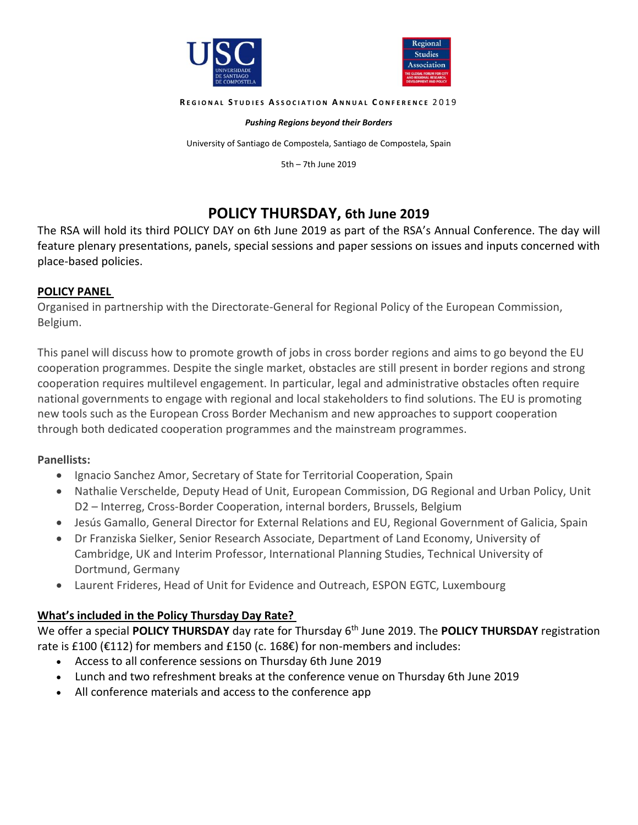



**R E G I O N A L S T U D I E S A S S O C I A T I O N A N N U A L C O N F E R E N C E** 2 0 1 9

#### *Pushing Regions beyond their Borders*

University of Santiago de Compostela, Santiago de Compostela, Spain

5th – 7th June 2019

# **POLICY THURSDAY, 6th June 2019**

The RSA will hold its third POLICY DAY on 6th June 2019 as part of the RSA's Annual Conference. The day will feature plenary presentations, panels, special sessions and paper sessions on issues and inputs concerned with place-based policies.

#### **POLICY PANEL**

Organised in partnership with the Directorate-General for Regional Policy of the European Commission, Belgium.

This panel will discuss how to promote growth of jobs in cross border regions and aims to go beyond the EU cooperation programmes. Despite the single market, obstacles are still present in border regions and strong cooperation requires multilevel engagement. In particular, legal and administrative obstacles often require national governments to engage with regional and local stakeholders to find solutions. The EU is promoting new tools such as the European Cross Border Mechanism and new approaches to support cooperation through both dedicated cooperation programmes and the mainstream programmes.

### **Panellists:**

- Ignacio Sanchez Amor, Secretary of State for Territorial Cooperation, Spain
- Nathalie Verschelde, Deputy Head of Unit, European Commission, DG Regional and Urban Policy, Unit D2 – Interreg, Cross-Border Cooperation, internal borders, Brussels, Belgium
- Jesús Gamallo, General Director for External Relations and EU, Regional Government of Galicia, Spain
- Dr Franziska Sielker, Senior Research Associate, Department of Land Economy, University of Cambridge, UK and Interim Professor, International Planning Studies, Technical University of Dortmund, Germany
- Laurent Frideres, Head of Unit for Evidence and Outreach, ESPON EGTC, Luxembourg

### **What's included in the Policy Thursday Day Rate?**

We offer a special POLICY THURSDAY day rate for Thursday 6<sup>th</sup> June 2019. The POLICY THURSDAY registration rate is £100 (€112) for members and £150 (c. 168€) for non-members and includes:

- Access to all conference sessions on Thursday 6th June 2019
- Lunch and two refreshment breaks at the conference venue on Thursday 6th June 2019
- All conference materials and access to the conference app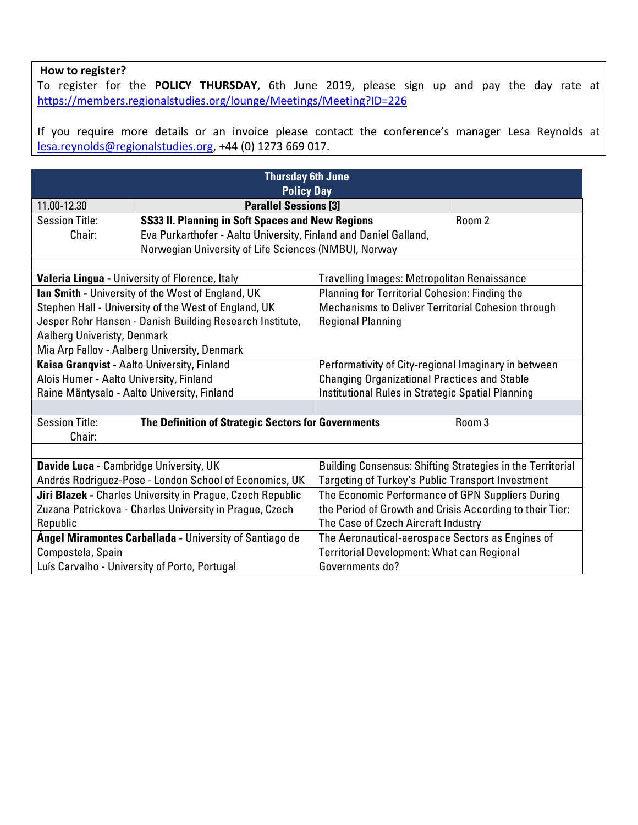## **How to register?**

To register for the **POLICY THURSDAY**, 6th June 2019, please sign up and pay the day rate at <https://members.regionalstudies.org/lounge/Meetings/Meeting?ID=226>

If you require more details or an invoice please contact the conference's manager Lesa Reynolds at [lesa.reynolds@regionalstudies.org,](mailto:lesa.reynolds@regionalstudies.org) +44 (0) 1273 669 017.

| <b>Thursday 6th June</b><br><b>Policy Day</b>           |                                                                  |                                                            |        |
|---------------------------------------------------------|------------------------------------------------------------------|------------------------------------------------------------|--------|
| 11.00-12.30                                             | <b>Parallel Sessions [3]</b>                                     |                                                            |        |
| <b>Session Title:</b>                                   | <b>SS33 II. Planning in Soft Spaces and New Regions</b>          |                                                            | Room 2 |
| Chair:                                                  | Eva Purkarthofer - Aalto University, Finland and Daniel Galland, |                                                            |        |
|                                                         | Norwegian University of Life Sciences (NMBU), Norway             |                                                            |        |
|                                                         |                                                                  |                                                            |        |
|                                                         | Valeria Lingua - University of Florence, Italy                   | Travelling Images: Metropolitan Renaissance                |        |
|                                                         | <b>Ian Smith - University of the West of England, UK</b>         | Planning for Territorial Cohesion: Finding the             |        |
|                                                         | Stephen Hall - University of the West of England, UK             | Mechanisms to Deliver Territorial Cohesion through         |        |
|                                                         | Jesper Rohr Hansen - Danish Building Research Institute,         | <b>Regional Planning</b>                                   |        |
| Aalberg Univeristy, Denmark                             |                                                                  |                                                            |        |
|                                                         | Mia Arp Fallov - Aalberg University, Denmark                     |                                                            |        |
| Kaisa Granqvist - Aalto University, Finland             |                                                                  | Performativity of City-regional Imaginary in between       |        |
| Alois Humer - Aalto University, Finland                 |                                                                  | <b>Changing Organizational Practices and Stable</b>        |        |
|                                                         | Raine Mäntysalo - Aalto University, Finland                      | Institutional Rules in Strategic Spatial Planning          |        |
|                                                         |                                                                  |                                                            |        |
| <b>Session Title:</b><br>Chair:                         | The Definition of Strategic Sectors for Governments              |                                                            | Room 3 |
|                                                         |                                                                  |                                                            |        |
| Davide Luca - Cambridge University, UK                  |                                                                  | Building Consensus: Shifting Strategies in the Territorial |        |
|                                                         | Andrés Rodríguez-Pose - London School of Economics, UK           | Targeting of Turkey's Public Transport Investment          |        |
|                                                         | Jiri Blazek - Charles University in Prague, Czech Republic       | The Economic Performance of GPN Suppliers During           |        |
| Zuzana Petrickova - Charles University in Prague, Czech |                                                                  | the Period of Growth and Crisis According to their Tier:   |        |
| Republic                                                |                                                                  | The Case of Czech Aircraft Industry                        |        |
|                                                         | <b>Angel Miramontes Carballada - University of Santiago de</b>   | The Aeronautical-aerospace Sectors as Engines of           |        |
| Compostela, Spain                                       |                                                                  | <b>Territorial Development: What can Regional</b>          |        |
|                                                         | Luís Carvalho - University of Porto, Portugal                    | Governments do?                                            |        |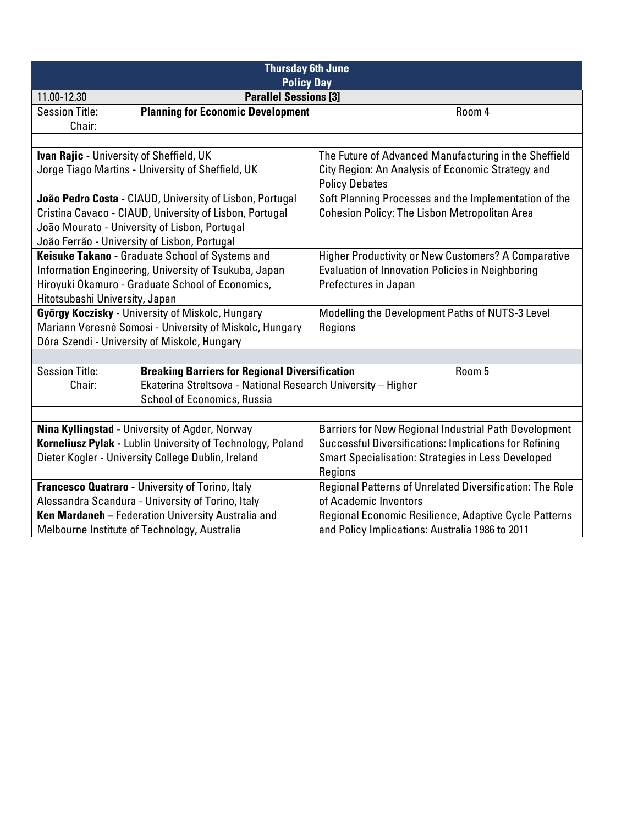| <b>Thursday 6th June</b>                     |                                                              |                                                               |  |
|----------------------------------------------|--------------------------------------------------------------|---------------------------------------------------------------|--|
|                                              | <b>Policy Day</b>                                            |                                                               |  |
| 11.00-12.30                                  | <b>Parallel Sessions [3]</b>                                 |                                                               |  |
| <b>Session Title:</b>                        | <b>Planning for Economic Development</b>                     | Room 4                                                        |  |
| Chair:                                       |                                                              |                                                               |  |
|                                              |                                                              |                                                               |  |
| Ivan Rajic - University of Sheffield, UK     |                                                              | The Future of Advanced Manufacturing in the Sheffield         |  |
|                                              | Jorge Tiago Martins - University of Sheffield, UK            | City Region: An Analysis of Economic Strategy and             |  |
|                                              |                                                              | <b>Policy Debates</b>                                         |  |
|                                              | João Pedro Costa - CIAUD, University of Lisbon, Portugal     | Soft Planning Processes and the Implementation of the         |  |
|                                              | Cristina Cavaco - CIAUD, University of Lisbon, Portugal      | <b>Cohesion Policy: The Lisbon Metropolitan Area</b>          |  |
|                                              | João Mourato - University of Lisbon, Portugal                |                                                               |  |
| João Ferrão - University of Lisbon, Portugal |                                                              |                                                               |  |
|                                              | Keisuke Takano - Graduate School of Systems and              | Higher Productivity or New Customers? A Comparative           |  |
|                                              | Information Engineering, University of Tsukuba, Japan        | <b>Evaluation of Innovation Policies in Neighboring</b>       |  |
|                                              | Hiroyuki Okamuro - Graduate School of Economics,             | Prefectures in Japan                                          |  |
| Hitotsubashi University, Japan               |                                                              |                                                               |  |
|                                              | György Koczisky - University of Miskolc, Hungary             | Modelling the Development Paths of NUTS-3 Level               |  |
|                                              | Mariann Veresné Somosi - University of Miskolc, Hungary      | Regions                                                       |  |
|                                              | Dóra Szendi - University of Miskolc, Hungary                 |                                                               |  |
|                                              |                                                              |                                                               |  |
| <b>Session Title:</b>                        | <b>Breaking Barriers for Regional Diversification</b>        | Room 5                                                        |  |
| Chair:                                       | Ekaterina Streltsova - National Research University - Higher |                                                               |  |
|                                              | <b>School of Economics, Russia</b>                           |                                                               |  |
|                                              |                                                              |                                                               |  |
|                                              | Nina Kyllingstad - University of Agder, Norway               | <b>Barriers for New Regional Industrial Path Development</b>  |  |
|                                              | Korneliusz Pylak - Lublin University of Technology, Poland   | <b>Successful Diversifications: Implications for Refining</b> |  |
|                                              | Dieter Kogler - University College Dublin, Ireland           | <b>Smart Specialisation: Strategies in Less Developed</b>     |  |
|                                              |                                                              | Regions                                                       |  |
|                                              | Francesco Quatraro - University of Torino, Italy             | Regional Patterns of Unrelated Diversification: The Role      |  |
|                                              | Alessandra Scandura - University of Torino, Italy            | of Academic Inventors                                         |  |
|                                              | Ken Mardaneh - Federation University Australia and           | Regional Economic Resilience, Adaptive Cycle Patterns         |  |
|                                              | Melbourne Institute of Technology, Australia                 | and Policy Implications: Australia 1986 to 2011               |  |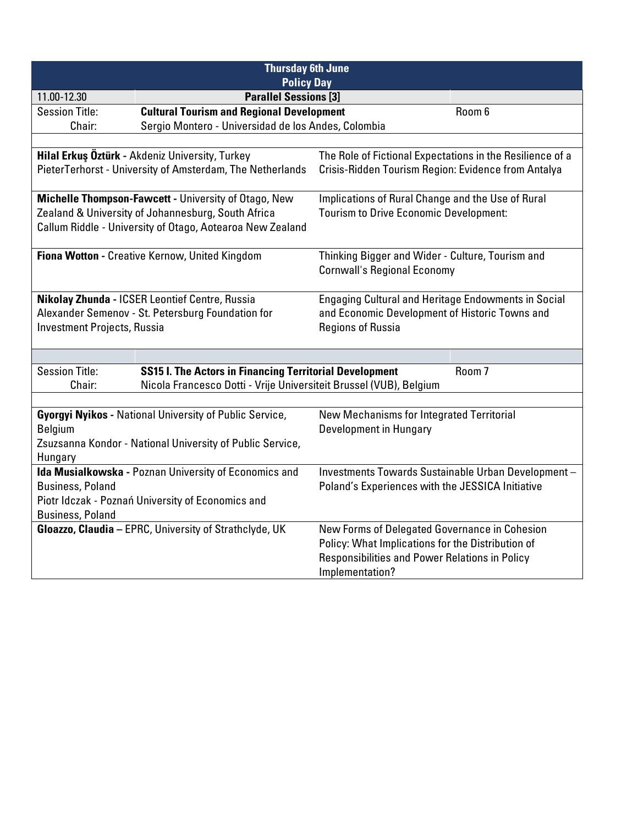| <b>Thursday 6th June</b>                                                                |  |                                                                                                    |  |
|-----------------------------------------------------------------------------------------|--|----------------------------------------------------------------------------------------------------|--|
| <b>Policy Day</b><br><b>Parallel Sessions [3]</b><br>11.00-12.30                        |  |                                                                                                    |  |
| <b>Cultural Tourism and Regional Development</b><br><b>Session Title:</b>               |  | Room 6                                                                                             |  |
| Sergio Montero - Universidad de los Andes, Colombia<br>Chair:                           |  |                                                                                                    |  |
|                                                                                         |  |                                                                                                    |  |
| Hilal Erkuş Öztürk - Akdeniz University, Turkey                                         |  | The Role of Fictional Expectations in the Resilience of a                                          |  |
| PieterTerhorst - University of Amsterdam, The Netherlands                               |  | Crisis-Ridden Tourism Region: Evidence from Antalya                                                |  |
| Michelle Thompson-Fawcett - University of Otago, New                                    |  | Implications of Rural Change and the Use of Rural                                                  |  |
| Zealand & University of Johannesburg, South Africa                                      |  | <b>Tourism to Drive Economic Development:</b>                                                      |  |
| Callum Riddle - University of Otago, Aotearoa New Zealand                               |  |                                                                                                    |  |
| Fiona Wotton - Creative Kernow, United Kingdom                                          |  | Thinking Bigger and Wider - Culture, Tourism and                                                   |  |
|                                                                                         |  | <b>Cornwall's Regional Economy</b>                                                                 |  |
|                                                                                         |  |                                                                                                    |  |
| Nikolay Zhunda - ICSER Leontief Centre, Russia                                          |  | <b>Engaging Cultural and Heritage Endowments in Social</b>                                         |  |
| Alexander Semenov - St. Petersburg Foundation for                                       |  | and Economic Development of Historic Towns and                                                     |  |
| <b>Investment Projects, Russia</b>                                                      |  | <b>Regions of Russia</b>                                                                           |  |
|                                                                                         |  |                                                                                                    |  |
| <b>Session Title:</b><br><b>SS15 I. The Actors in Financing Territorial Development</b> |  | Room <sub>7</sub>                                                                                  |  |
| Chair:                                                                                  |  | Nicola Francesco Dotti - Vrije Universiteit Brussel (VUB), Belgium                                 |  |
|                                                                                         |  |                                                                                                    |  |
| <b>Gyorgyi Nyikos - National University of Public Service,</b>                          |  | <b>New Mechanisms for Integrated Territorial</b>                                                   |  |
| <b>Belgium</b>                                                                          |  | Development in Hungary                                                                             |  |
| Zsuzsanna Kondor - National University of Public Service,<br>Hungary                    |  |                                                                                                    |  |
| Ida Musialkowska - Poznan University of Economics and                                   |  | Investments Towards Sustainable Urban Development-                                                 |  |
| <b>Business, Poland</b>                                                                 |  | Poland's Experiences with the JESSICA Initiative                                                   |  |
| Piotr Idczak - Poznań University of Economics and                                       |  |                                                                                                    |  |
| <b>Business, Poland</b>                                                                 |  |                                                                                                    |  |
| Gloazzo, Claudia - EPRC, University of Strathclyde, UK                                  |  | New Forms of Delegated Governance in Cohesion<br>Policy: What Implications for the Distribution of |  |
|                                                                                         |  | Responsibilities and Power Relations in Policy                                                     |  |
|                                                                                         |  | Implementation?                                                                                    |  |
|                                                                                         |  |                                                                                                    |  |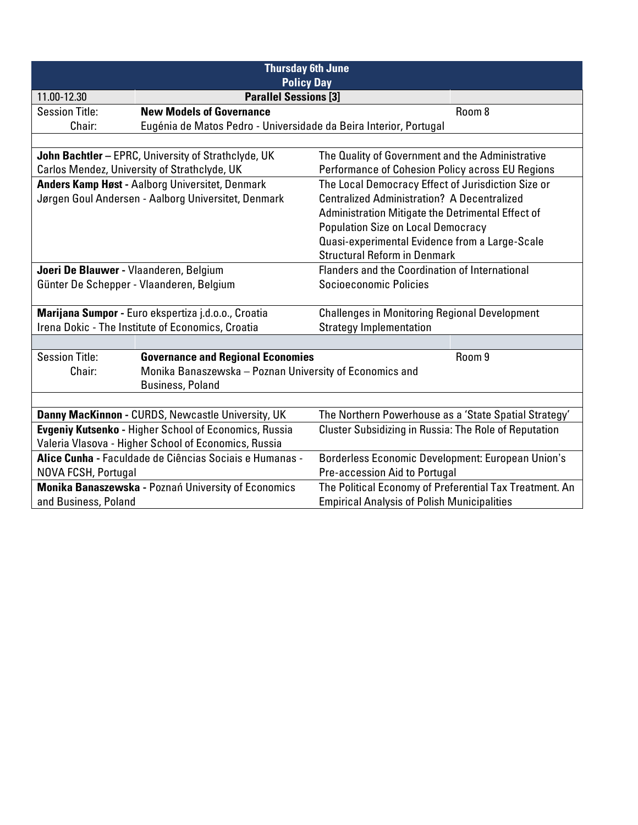| <b>Thursday 6th June</b><br><b>Policy Day</b>                                                               |                                                                   |                                                              |        |
|-------------------------------------------------------------------------------------------------------------|-------------------------------------------------------------------|--------------------------------------------------------------|--------|
| <b>Parallel Sessions [3]</b><br>11.00-12.30                                                                 |                                                                   |                                                              |        |
| <b>Session Title:</b>                                                                                       | <b>New Models of Governance</b>                                   |                                                              | Room 8 |
| Chair:                                                                                                      | Eugénia de Matos Pedro - Universidade da Beira Interior, Portugal |                                                              |        |
|                                                                                                             |                                                                   |                                                              |        |
|                                                                                                             | John Bachtler - EPRC, University of Strathclyde, UK               | The Quality of Government and the Administrative             |        |
|                                                                                                             | Carlos Mendez, University of Strathclyde, UK                      | Performance of Cohesion Policy across EU Regions             |        |
|                                                                                                             | <b>Anders Kamp Høst - Aalborg Universitet, Denmark</b>            | The Local Democracy Effect of Jurisdiction Size or           |        |
|                                                                                                             | Jørgen Goul Andersen - Aalborg Universitet, Denmark               | <b>Centralized Administration? A Decentralized</b>           |        |
|                                                                                                             |                                                                   | Administration Mitigate the Detrimental Effect of            |        |
|                                                                                                             |                                                                   | <b>Population Size on Local Democracy</b>                    |        |
|                                                                                                             |                                                                   | Quasi-experimental Evidence from a Large-Scale               |        |
|                                                                                                             |                                                                   | <b>Structural Reform in Denmark</b>                          |        |
| Flanders and the Coordination of International<br>Joeri De Blauwer - Vlaanderen, Belgium                    |                                                                   |                                                              |        |
|                                                                                                             | Günter De Schepper - Vlaanderen, Belgium                          | Socioeconomic Policies                                       |        |
|                                                                                                             |                                                                   |                                                              |        |
| Marijana Sumpor - Euro ekspertiza j.d.o.o., Croatia<br><b>Challenges in Monitoring Regional Development</b> |                                                                   |                                                              |        |
|                                                                                                             | Irena Dokic - The Institute of Economics, Croatia                 | <b>Strategy Implementation</b>                               |        |
|                                                                                                             |                                                                   |                                                              |        |
| <b>Session Title:</b>                                                                                       | <b>Governance and Regional Economies</b>                          |                                                              | Room 9 |
| Chair:                                                                                                      | Monika Banaszewska - Poznan University of Economics and           |                                                              |        |
|                                                                                                             | <b>Business, Poland</b>                                           |                                                              |        |
|                                                                                                             |                                                                   |                                                              |        |
|                                                                                                             | Danny MacKinnon - CURDS, Newcastle University, UK                 | The Northern Powerhouse as a 'State Spatial Strategy'        |        |
|                                                                                                             | <b>Evgeniy Kutsenko - Higher School of Economics, Russia</b>      | <b>Cluster Subsidizing in Russia: The Role of Reputation</b> |        |
|                                                                                                             | Valeria Vlasova - Higher School of Economics, Russia              |                                                              |        |
|                                                                                                             | Alice Cunha - Faculdade de Ciências Sociais e Humanas -           | Borderless Economic Development: European Union's            |        |
| NOVA FCSH, Portugal                                                                                         |                                                                   | Pre-accession Aid to Portugal                                |        |
|                                                                                                             | Monika Banaszewska - Poznań University of Economics               | The Political Economy of Preferential Tax Treatment. An      |        |
| and Business, Poland                                                                                        |                                                                   | <b>Empirical Analysis of Polish Municipalities</b>           |        |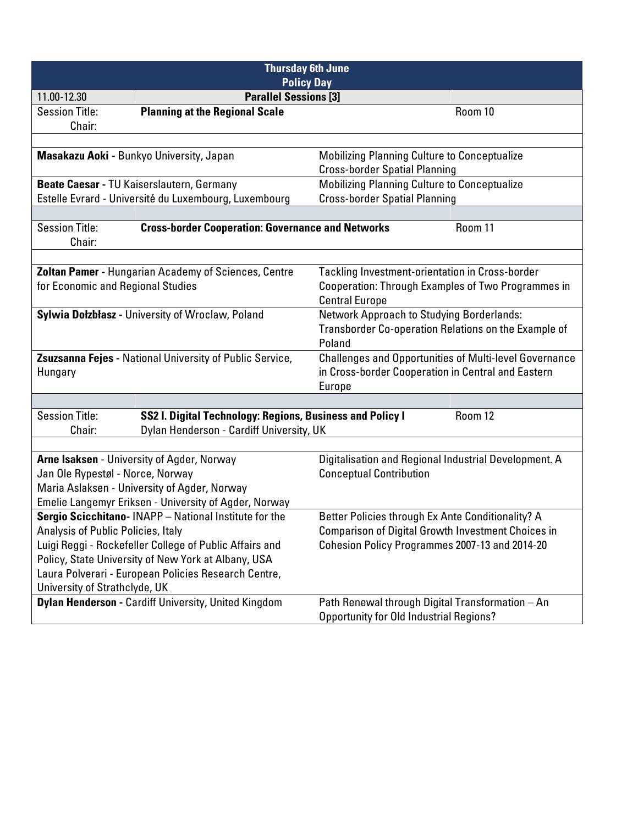| <b>Thursday 6th June</b><br><b>Policy Day</b>                                                                                                                                                                               |                                                                                                       |                                                                                                    |         |  |
|-----------------------------------------------------------------------------------------------------------------------------------------------------------------------------------------------------------------------------|-------------------------------------------------------------------------------------------------------|----------------------------------------------------------------------------------------------------|---------|--|
| <b>Parallel Sessions [3]</b><br>11.00-12.30                                                                                                                                                                                 |                                                                                                       |                                                                                                    |         |  |
| <b>Session Title:</b><br>Chair:                                                                                                                                                                                             | <b>Planning at the Regional Scale</b>                                                                 |                                                                                                    | Room 10 |  |
|                                                                                                                                                                                                                             |                                                                                                       |                                                                                                    |         |  |
| Masakazu Aoki - Bunkyo University, Japan<br><b>Mobilizing Planning Culture to Conceptualize</b><br><b>Cross-border Spatial Planning</b>                                                                                     |                                                                                                       |                                                                                                    |         |  |
|                                                                                                                                                                                                                             | Beate Caesar - TU Kaiserslautern, Germany                                                             | <b>Mobilizing Planning Culture to Conceptualize</b>                                                |         |  |
|                                                                                                                                                                                                                             | Estelle Evrard - Université du Luxembourg, Luxembourg                                                 | <b>Cross-border Spatial Planning</b>                                                               |         |  |
|                                                                                                                                                                                                                             |                                                                                                       |                                                                                                    |         |  |
| <b>Session Title:</b><br>Chair:                                                                                                                                                                                             | <b>Cross-border Cooperation: Governance and Networks</b>                                              |                                                                                                    | Room 11 |  |
|                                                                                                                                                                                                                             |                                                                                                       |                                                                                                    |         |  |
| Zoltan Pamer - Hungarian Academy of Sciences, Centre<br>Tackling Investment-orientation in Cross-border<br>for Economic and Regional Studies<br>Cooperation: Through Examples of Two Programmes in<br><b>Central Europe</b> |                                                                                                       |                                                                                                    |         |  |
| Sylwia Dołzbłasz - University of Wroclaw, Poland<br><b>Network Approach to Studying Borderlands:</b><br>Transborder Co-operation Relations on the Example of<br>Poland                                                      |                                                                                                       |                                                                                                    |         |  |
| <b>Challenges and Opportunities of Multi-level Governance</b><br>Zsuzsanna Fejes - National University of Public Service,<br>in Cross-border Cooperation in Central and Eastern<br>Hungary<br>Europe                        |                                                                                                       |                                                                                                    |         |  |
|                                                                                                                                                                                                                             |                                                                                                       |                                                                                                    |         |  |
| <b>Session Title:</b><br>Chair:                                                                                                                                                                                             | SS2 I. Digital Technology: Regions, Business and Policy I<br>Dylan Henderson - Cardiff University, UK |                                                                                                    | Room 12 |  |
|                                                                                                                                                                                                                             |                                                                                                       |                                                                                                    |         |  |
|                                                                                                                                                                                                                             | Arne Isaksen - University of Agder, Norway                                                            | Digitalisation and Regional Industrial Development. A                                              |         |  |
| Jan Ole Rypestøl - Norce, Norway                                                                                                                                                                                            |                                                                                                       | <b>Conceptual Contribution</b>                                                                     |         |  |
|                                                                                                                                                                                                                             | Maria Aslaksen - University of Agder, Norway                                                          |                                                                                                    |         |  |
|                                                                                                                                                                                                                             | Emelie Langemyr Eriksen - University of Agder, Norway                                                 |                                                                                                    |         |  |
|                                                                                                                                                                                                                             | Sergio Scicchitano- INAPP - National Institute for the                                                | Better Policies through Ex Ante Conditionality? A                                                  |         |  |
| Analysis of Public Policies, Italy                                                                                                                                                                                          |                                                                                                       | Comparison of Digital Growth Investment Choices in                                                 |         |  |
|                                                                                                                                                                                                                             | Luigi Reggi - Rockefeller College of Public Affairs and                                               | Cohesion Policy Programmes 2007-13 and 2014-20                                                     |         |  |
|                                                                                                                                                                                                                             | Policy, State University of New York at Albany, USA                                                   |                                                                                                    |         |  |
|                                                                                                                                                                                                                             | Laura Polverari - European Policies Research Centre,                                                  |                                                                                                    |         |  |
| University of Strathclyde, UK                                                                                                                                                                                               |                                                                                                       |                                                                                                    |         |  |
|                                                                                                                                                                                                                             | Dylan Henderson - Cardiff University, United Kingdom                                                  | Path Renewal through Digital Transformation - An<br><b>Opportunity for Old Industrial Regions?</b> |         |  |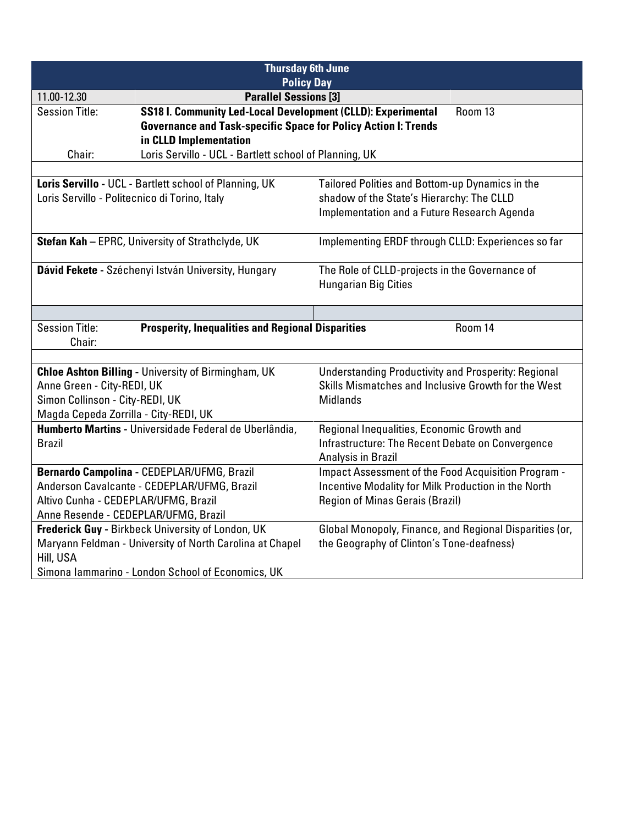| <b>Thursday 6th June</b><br><b>Policy Day</b>     |                                                                         |                                                                                              |  |
|---------------------------------------------------|-------------------------------------------------------------------------|----------------------------------------------------------------------------------------------|--|
| <b>Parallel Sessions [3]</b><br>11.00-12.30       |                                                                         |                                                                                              |  |
| <b>Session Title:</b>                             | SS18 I. Community Led-Local Development (CLLD): Experimental<br>Room 13 |                                                                                              |  |
|                                                   | <b>Governance and Task-specific Space for Policy Action I: Trends</b>   |                                                                                              |  |
|                                                   | in CLLD Implementation                                                  |                                                                                              |  |
| Chair:                                            | Loris Servillo - UCL - Bartlett school of Planning, UK                  |                                                                                              |  |
|                                                   |                                                                         |                                                                                              |  |
| Loris Servillo - Politecnico di Torino, Italy     | Loris Servillo - UCL - Bartlett school of Planning, UK                  | Tailored Polities and Bottom-up Dynamics in the<br>shadow of the State's Hierarchy: The CLLD |  |
|                                                   |                                                                         | Implementation and a Future Research Agenda                                                  |  |
|                                                   |                                                                         |                                                                                              |  |
|                                                   | Stefan Kah - EPRC, University of Strathclyde, UK                        | Implementing ERDF through CLLD: Experiences so far                                           |  |
|                                                   |                                                                         |                                                                                              |  |
|                                                   | Dávid Fekete - Széchenyi István University, Hungary                     | The Role of CLLD-projects in the Governance of                                               |  |
| <b>Hungarian Big Cities</b>                       |                                                                         |                                                                                              |  |
|                                                   |                                                                         |                                                                                              |  |
| <b>Session Title:</b>                             | <b>Prosperity, Inequalities and Regional Disparities</b>                | Room 14                                                                                      |  |
| Chair:                                            |                                                                         |                                                                                              |  |
|                                                   |                                                                         |                                                                                              |  |
|                                                   | <b>Chloe Ashton Billing - University of Birmingham, UK</b>              | <b>Understanding Productivity and Prosperity: Regional</b>                                   |  |
| Anne Green - City-REDI, UK                        |                                                                         | Skills Mismatches and Inclusive Growth for the West                                          |  |
| Simon Collinson - City-REDI, UK                   |                                                                         | <b>Midlands</b>                                                                              |  |
| Magda Cepeda Zorrilla - City-REDI, UK             | Humberto Martins - Universidade Federal de Uberlândia,                  | Regional Inequalities, Economic Growth and                                                   |  |
| <b>Brazil</b>                                     |                                                                         | Infrastructure: The Recent Debate on Convergence                                             |  |
|                                                   |                                                                         | Analysis in Brazil                                                                           |  |
|                                                   | Bernardo Campolina - CEDEPLAR/UFMG, Brazil                              | <b>Impact Assessment of the Food Acquisition Program -</b>                                   |  |
|                                                   | Anderson Cavalcante - CEDEPLAR/UFMG, Brazil                             | Incentive Modality for Milk Production in the North                                          |  |
| Altivo Cunha - CEDEPLAR/UFMG, Brazil              |                                                                         | <b>Region of Minas Gerais (Brazil)</b>                                                       |  |
| Anne Resende - CEDEPLAR/UFMG, Brazil              |                                                                         |                                                                                              |  |
|                                                   | Frederick Guy - Birkbeck University of London, UK                       | Global Monopoly, Finance, and Regional Disparities (or,                                      |  |
|                                                   | Maryann Feldman - University of North Carolina at Chapel                | the Geography of Clinton's Tone-deafness)                                                    |  |
| Hill, USA                                         |                                                                         |                                                                                              |  |
| Simona Iammarino - London School of Economics, UK |                                                                         |                                                                                              |  |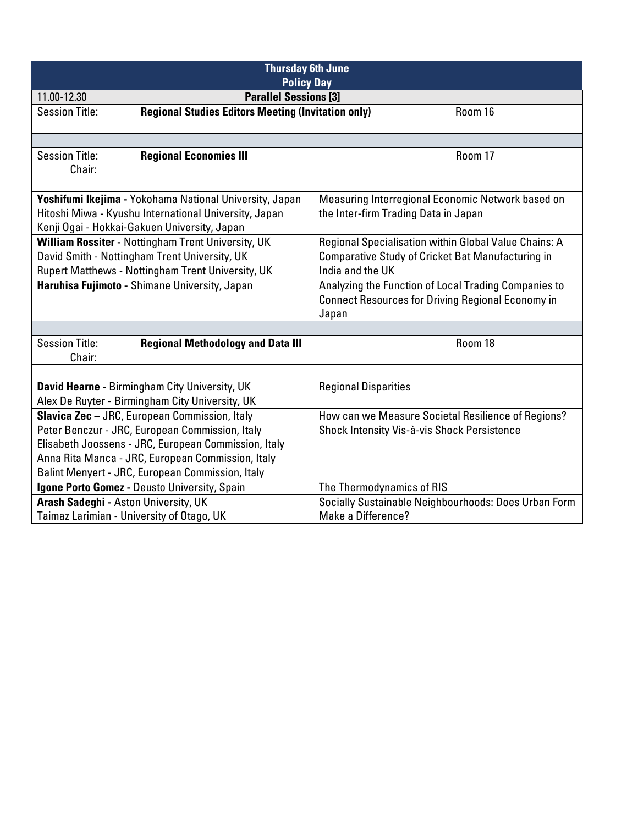| <b>Thursday 6th June</b><br><b>Policy Day</b>     |                                                                                                                                                                             |                                                          |         |  |
|---------------------------------------------------|-----------------------------------------------------------------------------------------------------------------------------------------------------------------------------|----------------------------------------------------------|---------|--|
| <b>Parallel Sessions [3]</b><br>11.00-12.30       |                                                                                                                                                                             |                                                          |         |  |
| <b>Session Title:</b>                             | <b>Regional Studies Editors Meeting (Invitation only)</b>                                                                                                                   |                                                          | Room 16 |  |
|                                                   |                                                                                                                                                                             |                                                          |         |  |
|                                                   |                                                                                                                                                                             |                                                          |         |  |
| <b>Session Title:</b>                             | <b>Regional Economies III</b>                                                                                                                                               |                                                          | Room 17 |  |
| Chair:                                            |                                                                                                                                                                             |                                                          |         |  |
|                                                   |                                                                                                                                                                             |                                                          |         |  |
|                                                   | Yoshifumi Ikejima - Yokohama National University, Japan                                                                                                                     | Measuring Interregional Economic Network based on        |         |  |
|                                                   | Hitoshi Miwa - Kyushu International University, Japan                                                                                                                       | the Inter-firm Trading Data in Japan                     |         |  |
|                                                   | Kenji Ogai - Hokkai-Gakuen University, Japan                                                                                                                                |                                                          |         |  |
|                                                   | William Rossiter - Nottingham Trent University, UK                                                                                                                          | Regional Specialisation within Global Value Chains: A    |         |  |
|                                                   | David Smith - Nottingham Trent University, UK<br>Comparative Study of Cricket Bat Manufacturing in<br>Rupert Matthews - Nottingham Trent University, UK<br>India and the UK |                                                          |         |  |
|                                                   | Haruhisa Fujimoto - Shimane University, Japan                                                                                                                               | Analyzing the Function of Local Trading Companies to     |         |  |
|                                                   |                                                                                                                                                                             | <b>Connect Resources for Driving Regional Economy in</b> |         |  |
|                                                   |                                                                                                                                                                             | Japan                                                    |         |  |
|                                                   |                                                                                                                                                                             |                                                          |         |  |
| <b>Session Title:</b>                             | <b>Regional Methodology and Data III</b>                                                                                                                                    |                                                          | Room 18 |  |
| Chair:                                            |                                                                                                                                                                             |                                                          |         |  |
|                                                   |                                                                                                                                                                             |                                                          |         |  |
|                                                   | David Hearne - Birmingham City University, UK                                                                                                                               | <b>Regional Disparities</b>                              |         |  |
|                                                   | Alex De Ruyter - Birmingham City University, UK                                                                                                                             |                                                          |         |  |
|                                                   | Slavica Zec - JRC, European Commission, Italy                                                                                                                               | How can we Measure Societal Resilience of Regions?       |         |  |
|                                                   | Peter Benczur - JRC, European Commission, Italy                                                                                                                             | Shock Intensity Vis-à-vis Shock Persistence              |         |  |
|                                                   | Elisabeth Joossens - JRC, European Commission, Italy                                                                                                                        |                                                          |         |  |
| Anna Rita Manca - JRC, European Commission, Italy |                                                                                                                                                                             |                                                          |         |  |
| Balint Menyert - JRC, European Commission, Italy  |                                                                                                                                                                             |                                                          |         |  |
|                                                   | Igone Porto Gomez - Deusto University, Spain                                                                                                                                | The Thermodynamics of RIS                                |         |  |
| Arash Sadeghi - Aston University, UK              |                                                                                                                                                                             | Socially Sustainable Neighbourhoods: Does Urban Form     |         |  |
| Taimaz Larimian - University of Otago, UK         |                                                                                                                                                                             | Make a Difference?                                       |         |  |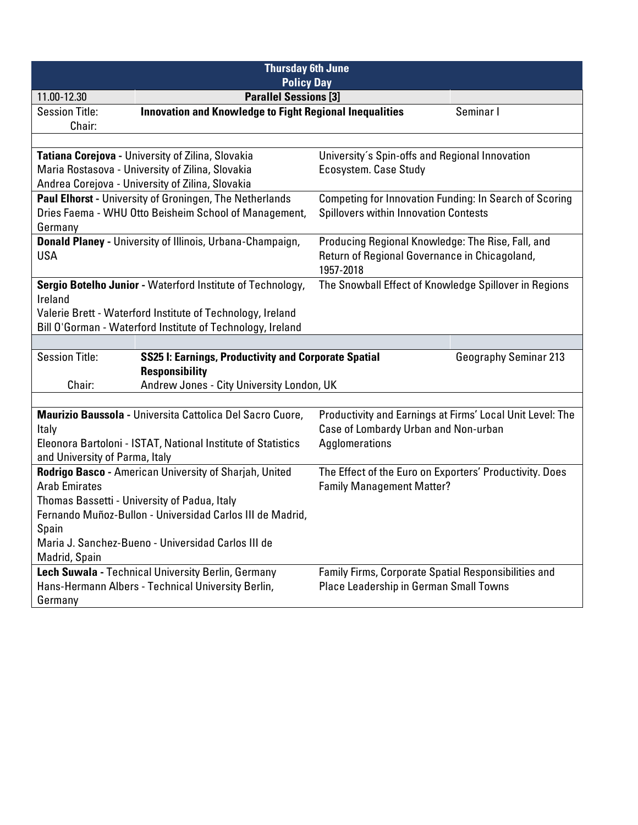| <b>Thursday 6th June</b><br><b>Policy Day</b>                                                                    |           |                                                |                                                               |
|------------------------------------------------------------------------------------------------------------------|-----------|------------------------------------------------|---------------------------------------------------------------|
| <b>Parallel Sessions [3]</b><br>11.00-12.30                                                                      |           |                                                |                                                               |
| <b>Innovation and Knowledge to Fight Regional Inequalities</b><br><b>Session Title:</b>                          |           |                                                | Seminar I                                                     |
| Chair:                                                                                                           |           |                                                |                                                               |
|                                                                                                                  |           |                                                |                                                               |
| Tatiana Corejova - University of Zilina, Slovakia                                                                |           | University's Spin-offs and Regional Innovation |                                                               |
| Maria Rostasova - University of Zilina, Slovakia<br>Ecosystem. Case Study                                        |           |                                                |                                                               |
| Andrea Corejova - University of Zilina, Slovakia                                                                 |           |                                                |                                                               |
| Paul Elhorst - University of Groningen, The Netherlands<br>Dries Faema - WHU Otto Beisheim School of Management, |           | <b>Spillovers within Innovation Contests</b>   | <b>Competing for Innovation Funding: In Search of Scoring</b> |
| Germany                                                                                                          |           |                                                |                                                               |
| Donald Planey - University of Illinois, Urbana-Champaign,                                                        |           |                                                | Producing Regional Knowledge: The Rise, Fall, and             |
| <b>USA</b>                                                                                                       |           | Return of Regional Governance in Chicagoland,  |                                                               |
|                                                                                                                  | 1957-2018 |                                                |                                                               |
| Sergio Botelho Junior - Waterford Institute of Technology,                                                       |           |                                                | The Snowball Effect of Knowledge Spillover in Regions         |
| Ireland                                                                                                          |           |                                                |                                                               |
| Valerie Brett - Waterford Institute of Technology, Ireland                                                       |           |                                                |                                                               |
| Bill O'Gorman - Waterford Institute of Technology, Ireland                                                       |           |                                                |                                                               |
|                                                                                                                  |           |                                                |                                                               |
| <b>Session Title:</b><br><b>SS25 I: Earnings, Productivity and Corporate Spatial</b><br><b>Responsibility</b>    |           |                                                | <b>Geography Seminar 213</b>                                  |
| Andrew Jones - City University London, UK<br>Chair:                                                              |           |                                                |                                                               |
|                                                                                                                  |           |                                                |                                                               |
| Maurizio Baussola - Universita Cattolica Del Sacro Cuore,                                                        |           |                                                | Productivity and Earnings at Firms' Local Unit Level: The     |
| Italy                                                                                                            |           | Case of Lombardy Urban and Non-urban           |                                                               |
| Eleonora Bartoloni - ISTAT, National Institute of Statistics<br>and University of Parma, Italy                   |           | Agglomerations                                 |                                                               |
| Rodrigo Basco - American University of Sharjah, United                                                           |           |                                                | The Effect of the Euro on Exporters' Productivity. Does       |
| <b>Arab Emirates</b>                                                                                             |           | <b>Family Management Matter?</b>               |                                                               |
| Thomas Bassetti - University of Padua, Italy                                                                     |           |                                                |                                                               |
| Fernando Muñoz-Bullon - Universidad Carlos III de Madrid,                                                        |           |                                                |                                                               |
| Spain                                                                                                            |           |                                                |                                                               |
| Maria J. Sanchez-Bueno - Universidad Carlos III de                                                               |           |                                                |                                                               |
| Madrid, Spain<br>Lech Suwala - Technical University Berlin, Germany                                              |           |                                                |                                                               |
| Hans-Hermann Albers - Technical University Berlin,                                                               |           | Place Leadership in German Small Towns         | Family Firms, Corporate Spatial Responsibilities and          |
| Germany                                                                                                          |           |                                                |                                                               |
|                                                                                                                  |           |                                                |                                                               |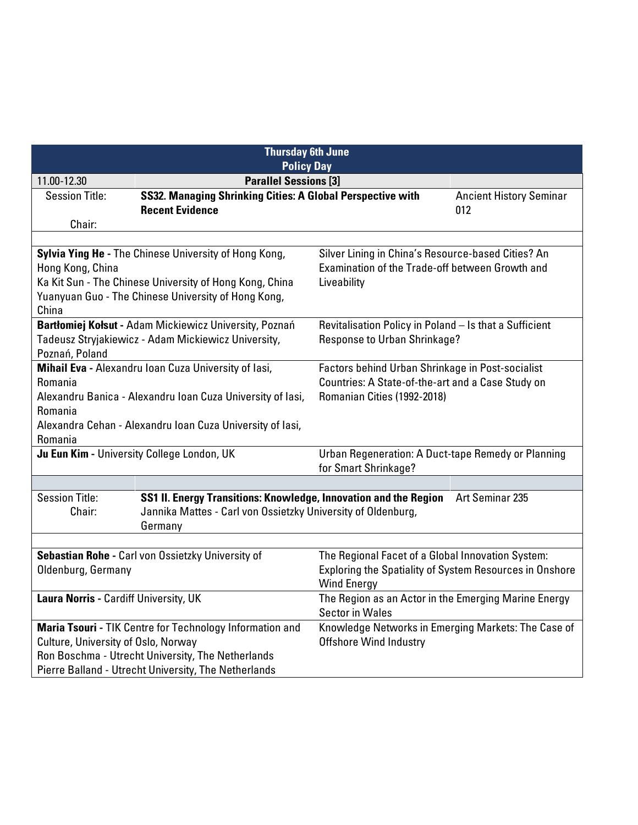| <b>Thursday 6th June</b><br><b>Policy Day</b>        |                                                                  |                                                                                |                                |
|------------------------------------------------------|------------------------------------------------------------------|--------------------------------------------------------------------------------|--------------------------------|
| <b>Parallel Sessions [3]</b><br>11.00-12.30          |                                                                  |                                                                                |                                |
| <b>Session Title:</b>                                | SS32. Managing Shrinking Cities: A Global Perspective with       |                                                                                | <b>Ancient History Seminar</b> |
|                                                      | <b>Recent Evidence</b>                                           |                                                                                | 012                            |
| Chair:                                               |                                                                  |                                                                                |                                |
|                                                      |                                                                  |                                                                                |                                |
|                                                      | Sylvia Ying He - The Chinese University of Hong Kong,            | Silver Lining in China's Resource-based Cities? An                             |                                |
| Hong Kong, China                                     |                                                                  | Examination of the Trade-off between Growth and                                |                                |
|                                                      | Ka Kit Sun - The Chinese University of Hong Kong, China          | Liveability                                                                    |                                |
|                                                      | Yuanyuan Guo - The Chinese University of Hong Kong,              |                                                                                |                                |
| China                                                |                                                                  |                                                                                |                                |
|                                                      | Bartłomiej Kołsut - Adam Mickiewicz University, Poznań           | Revitalisation Policy in Poland - Is that a Sufficient                         |                                |
|                                                      | Tadeusz Stryjakiewicz - Adam Mickiewicz University,              | Response to Urban Shrinkage?                                                   |                                |
| Poznań, Poland                                       |                                                                  |                                                                                |                                |
|                                                      | Mihail Eva - Alexandru Ioan Cuza University of lasi,             | Factors behind Urban Shrinkage in Post-socialist                               |                                |
| Romania                                              |                                                                  | Countries: A State-of-the-art and a Case Study on                              |                                |
|                                                      | Alexandru Banica - Alexandru Ioan Cuza University of lasi,       | Romanian Cities (1992-2018)                                                    |                                |
| Romania                                              |                                                                  |                                                                                |                                |
|                                                      | Alexandra Cehan - Alexandru Ioan Cuza University of lasi,        |                                                                                |                                |
| Romania                                              |                                                                  |                                                                                |                                |
|                                                      | Ju Eun Kim - University College London, UK                       | Urban Regeneration: A Duct-tape Remedy or Planning                             |                                |
|                                                      |                                                                  | for Smart Shrinkage?                                                           |                                |
|                                                      |                                                                  |                                                                                |                                |
| <b>Session Title:</b>                                | SS1 II. Energy Transitions: Knowledge, Innovation and the Region |                                                                                | Art Seminar 235                |
| Chair:                                               | Jannika Mattes - Carl von Ossietzky University of Oldenburg,     |                                                                                |                                |
|                                                      | Germany                                                          |                                                                                |                                |
|                                                      |                                                                  |                                                                                |                                |
|                                                      | Sebastian Rohe - Carl von Ossietzky University of                | The Regional Facet of a Global Innovation System:                              |                                |
| Oldenburg, Germany                                   |                                                                  | Exploring the Spatiality of System Resources in Onshore                        |                                |
|                                                      |                                                                  | <b>Wind Energy</b>                                                             |                                |
| Laura Norris - Cardiff University, UK                |                                                                  | The Region as an Actor in the Emerging Marine Energy<br><b>Sector in Wales</b> |                                |
|                                                      | Maria Tsouri - TIK Centre for Technology Information and         | Knowledge Networks in Emerging Markets: The Case of                            |                                |
| Culture, University of Oslo, Norway                  |                                                                  | <b>Offshore Wind Industry</b>                                                  |                                |
|                                                      | Ron Boschma - Utrecht University, The Netherlands                |                                                                                |                                |
| Pierre Balland - Utrecht University, The Netherlands |                                                                  |                                                                                |                                |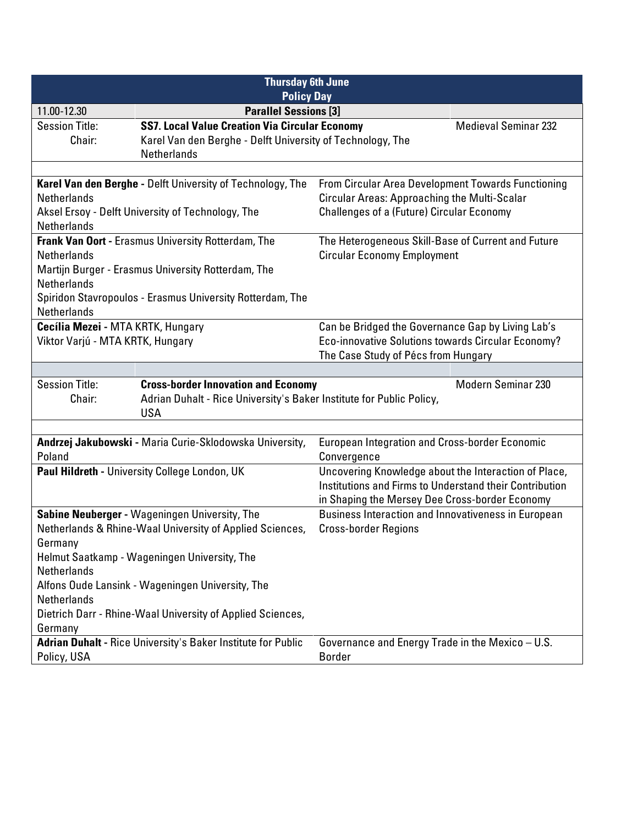| <b>Thursday 6th June</b><br><b>Policy Day</b> |                                                                                    |                                                         |                             |  |
|-----------------------------------------------|------------------------------------------------------------------------------------|---------------------------------------------------------|-----------------------------|--|
| 11.00-12.30                                   | <b>Parallel Sessions [3]</b>                                                       |                                                         |                             |  |
| <b>Session Title:</b>                         | <b>SS7. Local Value Creation Via Circular Economy</b>                              |                                                         | <b>Medieval Seminar 232</b> |  |
| Chair:                                        | Karel Van den Berghe - Delft University of Technology, The                         |                                                         |                             |  |
|                                               | <b>Netherlands</b>                                                                 |                                                         |                             |  |
|                                               |                                                                                    |                                                         |                             |  |
|                                               | Karel Van den Berghe - Delft University of Technology, The                         | From Circular Area Development Towards Functioning      |                             |  |
| <b>Netherlands</b>                            |                                                                                    | <b>Circular Areas: Approaching the Multi-Scalar</b>     |                             |  |
|                                               | Aksel Ersoy - Delft University of Technology, The                                  | <b>Challenges of a (Future) Circular Economy</b>        |                             |  |
| <b>Netherlands</b>                            |                                                                                    |                                                         |                             |  |
|                                               | Frank Van Oort - Erasmus University Rotterdam, The                                 | The Heterogeneous Skill-Base of Current and Future      |                             |  |
| <b>Netherlands</b>                            |                                                                                    | <b>Circular Economy Employment</b>                      |                             |  |
|                                               | Martijn Burger - Erasmus University Rotterdam, The                                 |                                                         |                             |  |
| Netherlands                                   |                                                                                    |                                                         |                             |  |
|                                               | Spiridon Stavropoulos - Erasmus University Rotterdam, The                          |                                                         |                             |  |
| <b>Netherlands</b>                            |                                                                                    |                                                         |                             |  |
| Cecília Mezei - MTA KRTK, Hungary             |                                                                                    | Can be Bridged the Governance Gap by Living Lab's       |                             |  |
| Viktor Varjú - MTA KRTK, Hungary              |                                                                                    | Eco-innovative Solutions towards Circular Economy?      |                             |  |
|                                               |                                                                                    | The Case Study of Pécs from Hungary                     |                             |  |
|                                               |                                                                                    |                                                         |                             |  |
| <b>Session Title:</b><br>Chair:               | <b>Cross-border Innovation and Economy</b>                                         |                                                         | <b>Modern Seminar 230</b>   |  |
|                                               | Adrian Duhalt - Rice University's Baker Institute for Public Policy,<br><b>USA</b> |                                                         |                             |  |
|                                               |                                                                                    |                                                         |                             |  |
|                                               | Andrzej Jakubowski - Maria Curie-Sklodowska University,                            | <b>European Integration and Cross-border Economic</b>   |                             |  |
| Poland                                        |                                                                                    | Convergence                                             |                             |  |
|                                               | Paul Hildreth - University College London, UK                                      | Uncovering Knowledge about the Interaction of Place,    |                             |  |
|                                               |                                                                                    | Institutions and Firms to Understand their Contribution |                             |  |
|                                               |                                                                                    | in Shaping the Mersey Dee Cross-border Economy          |                             |  |
|                                               | Sabine Neuberger - Wageningen University, The                                      | Business Interaction and Innovativeness in European     |                             |  |
|                                               | Netherlands & Rhine-Waal University of Applied Sciences,                           | <b>Cross-border Regions</b>                             |                             |  |
| Germany                                       |                                                                                    |                                                         |                             |  |
| Helmut Saatkamp - Wageningen University, The  |                                                                                    |                                                         |                             |  |
| Netherlands                                   |                                                                                    |                                                         |                             |  |
|                                               | Alfons Oude Lansink - Wageningen University, The                                   |                                                         |                             |  |
| Netherlands                                   |                                                                                    |                                                         |                             |  |
|                                               | Dietrich Darr - Rhine-Waal University of Applied Sciences,                         |                                                         |                             |  |
| Germany                                       |                                                                                    |                                                         |                             |  |
|                                               | <b>Adrian Duhalt - Rice University's Baker Institute for Public</b>                | Governance and Energy Trade in the Mexico - U.S.        |                             |  |
| Policy, USA                                   |                                                                                    | <b>Border</b>                                           |                             |  |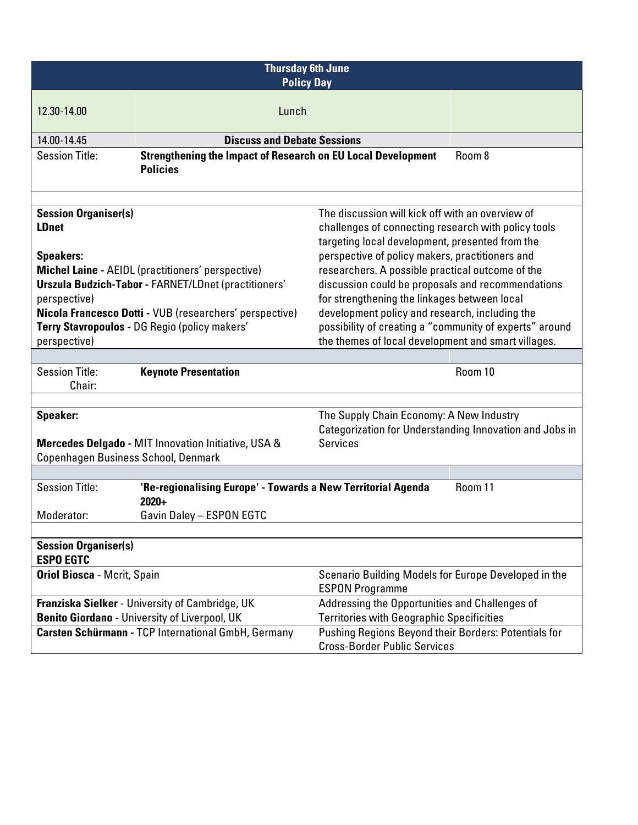| <b>Thursday 6th June</b><br><b>Policy Day</b>                                                                                                                                                                         |                                                                     |                                                                                             |         |
|-----------------------------------------------------------------------------------------------------------------------------------------------------------------------------------------------------------------------|---------------------------------------------------------------------|---------------------------------------------------------------------------------------------|---------|
| 12.30-14.00                                                                                                                                                                                                           | Lunch                                                               |                                                                                             |         |
|                                                                                                                                                                                                                       |                                                                     |                                                                                             |         |
| 14.00-14.45                                                                                                                                                                                                           | <b>Discuss and Debate Sessions</b>                                  |                                                                                             |         |
| <b>Session Title:</b>                                                                                                                                                                                                 | <b>Strengthening the Impact of Research on EU Local Development</b> |                                                                                             | Room 8  |
|                                                                                                                                                                                                                       | <b>Policies</b>                                                     |                                                                                             |         |
|                                                                                                                                                                                                                       |                                                                     |                                                                                             |         |
| <b>Session Organiser(s)</b>                                                                                                                                                                                           |                                                                     | The discussion will kick off with an overview of                                            |         |
| <b>LDnet</b>                                                                                                                                                                                                          |                                                                     | challenges of connecting research with policy tools                                         |         |
|                                                                                                                                                                                                                       |                                                                     | targeting local development, presented from the                                             |         |
| <b>Speakers:</b>                                                                                                                                                                                                      |                                                                     | perspective of policy makers, practitioners and                                             |         |
|                                                                                                                                                                                                                       | <b>Michel Laine - AEIDL (practitioners' perspective)</b>            | researchers. A possible practical outcome of the                                            |         |
|                                                                                                                                                                                                                       | <b>Urszula Budzich-Tabor - FARNET/LDnet (practitioners'</b>         | discussion could be proposals and recommendations                                           |         |
| perspective)                                                                                                                                                                                                          |                                                                     | for strengthening the linkages between local                                                |         |
| Nicola Francesco Dotti - VUB (researchers' perspective)<br>development policy and research, including the<br>possibility of creating a "community of experts" around<br>Terry Stavropoulos - DG Regio (policy makers' |                                                                     |                                                                                             |         |
| perspective)                                                                                                                                                                                                          |                                                                     | the themes of local development and smart villages.                                         |         |
|                                                                                                                                                                                                                       |                                                                     |                                                                                             |         |
| <b>Session Title:</b>                                                                                                                                                                                                 | <b>Keynote Presentation</b>                                         |                                                                                             | Room 10 |
| Chair:                                                                                                                                                                                                                |                                                                     |                                                                                             |         |
|                                                                                                                                                                                                                       |                                                                     |                                                                                             |         |
| <b>Speaker:</b>                                                                                                                                                                                                       |                                                                     | The Supply Chain Economy: A New Industry                                                    |         |
|                                                                                                                                                                                                                       |                                                                     | Categorization for Understanding Innovation and Jobs in                                     |         |
|                                                                                                                                                                                                                       | Mercedes Delgado - MIT Innovation Initiative, USA &                 | <b>Services</b>                                                                             |         |
| Copenhagen Business School, Denmark                                                                                                                                                                                   |                                                                     |                                                                                             |         |
| <b>Session Title:</b>                                                                                                                                                                                                 | 'Re-regionalising Europe' - Towards a New Territorial Agenda        |                                                                                             | Room 11 |
|                                                                                                                                                                                                                       | $2020+$                                                             |                                                                                             |         |
| Moderator:                                                                                                                                                                                                            | Gavin Daley - ESPON EGTC                                            |                                                                                             |         |
|                                                                                                                                                                                                                       |                                                                     |                                                                                             |         |
| <b>Session Organiser(s)</b>                                                                                                                                                                                           |                                                                     |                                                                                             |         |
| <b>ESPO EGTC</b>                                                                                                                                                                                                      |                                                                     |                                                                                             |         |
| <b>Oriol Biosca - Mcrit, Spain</b><br>Scenario Building Models for Europe Developed in the                                                                                                                            |                                                                     |                                                                                             |         |
|                                                                                                                                                                                                                       |                                                                     | <b>ESPON Programme</b>                                                                      |         |
|                                                                                                                                                                                                                       | Franziska Sielker - University of Cambridge, UK                     | Addressing the Opportunities and Challenges of                                              |         |
|                                                                                                                                                                                                                       | Benito Giordano - University of Liverpool, UK                       | <b>Territories with Geographic Specificities</b>                                            |         |
|                                                                                                                                                                                                                       | Carsten Schürmann - TCP International GmbH, Germany                 | Pushing Regions Beyond their Borders: Potentials for<br><b>Cross-Border Public Services</b> |         |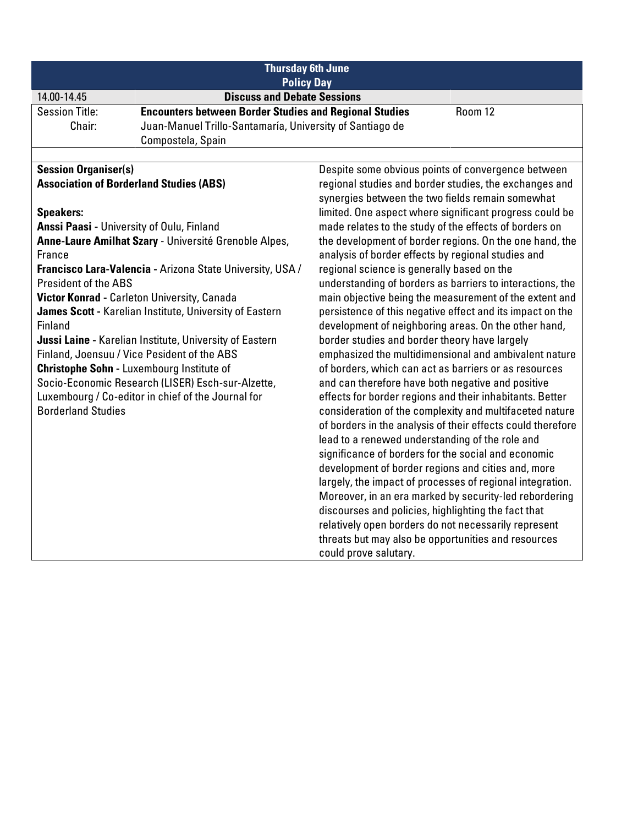| <b>Thursday 6th June</b><br><b>Policy Day</b> |                                                               |                                                                                                                     |         |
|-----------------------------------------------|---------------------------------------------------------------|---------------------------------------------------------------------------------------------------------------------|---------|
| 14.00-14.45                                   | <b>Discuss and Debate Sessions</b>                            |                                                                                                                     |         |
| <b>Session Title:</b>                         | <b>Encounters between Border Studies and Regional Studies</b> |                                                                                                                     | Room 12 |
| Chair:                                        | Juan-Manuel Trillo-Santamaría, University of Santiago de      |                                                                                                                     |         |
|                                               | Compostela, Spain                                             |                                                                                                                     |         |
|                                               |                                                               |                                                                                                                     |         |
| <b>Session Organiser(s)</b>                   |                                                               | Despite some obvious points of convergence between                                                                  |         |
|                                               | <b>Association of Borderland Studies (ABS)</b>                | regional studies and border studies, the exchanges and                                                              |         |
|                                               |                                                               | synergies between the two fields remain somewhat                                                                    |         |
| <b>Speakers:</b>                              |                                                               | limited. One aspect where significant progress could be                                                             |         |
| Anssi Paasi - University of Oulu, Finland     |                                                               | made relates to the study of the effects of borders on                                                              |         |
|                                               | Anne-Laure Amilhat Szary - Université Grenoble Alpes,         | the development of border regions. On the one hand, the                                                             |         |
| France                                        |                                                               | analysis of border effects by regional studies and                                                                  |         |
|                                               | Francisco Lara-Valencia - Arizona State University, USA /     | regional science is generally based on the                                                                          |         |
| <b>President of the ABS</b>                   |                                                               | understanding of borders as barriers to interactions, the                                                           |         |
|                                               | Victor Konrad - Carleton University, Canada                   | main objective being the measurement of the extent and<br>persistence of this negative effect and its impact on the |         |
| Finland                                       | James Scott - Karelian Institute, University of Eastern       |                                                                                                                     |         |
|                                               | Jussi Laine - Karelian Institute, University of Eastern       | development of neighboring areas. On the other hand,<br>border studies and border theory have largely               |         |
|                                               | Finland, Joensuu / Vice Pesident of the ABS                   | emphasized the multidimensional and ambivalent nature                                                               |         |
|                                               | <b>Christophe Sohn - Luxembourg Institute of</b>              | of borders, which can act as barriers or as resources                                                               |         |
|                                               | Socio-Economic Research (LISER) Esch-sur-Alzette,             | and can therefore have both negative and positive                                                                   |         |
|                                               | Luxembourg / Co-editor in chief of the Journal for            | effects for border regions and their inhabitants. Better                                                            |         |
| <b>Borderland Studies</b>                     |                                                               | consideration of the complexity and multifaceted nature                                                             |         |
|                                               |                                                               | of borders in the analysis of their effects could therefore                                                         |         |
|                                               |                                                               | lead to a renewed understanding of the role and                                                                     |         |
|                                               |                                                               | significance of borders for the social and economic                                                                 |         |
|                                               |                                                               | development of border regions and cities and, more                                                                  |         |
|                                               |                                                               | largely, the impact of processes of regional integration.                                                           |         |
|                                               |                                                               | Moreover, in an era marked by security-led rebordering                                                              |         |
|                                               |                                                               | discourses and policies, highlighting the fact that                                                                 |         |
|                                               |                                                               | relatively open borders do not necessarily represent                                                                |         |
|                                               |                                                               | threats but may also be opportunities and resources                                                                 |         |
|                                               |                                                               | could prove salutary.                                                                                               |         |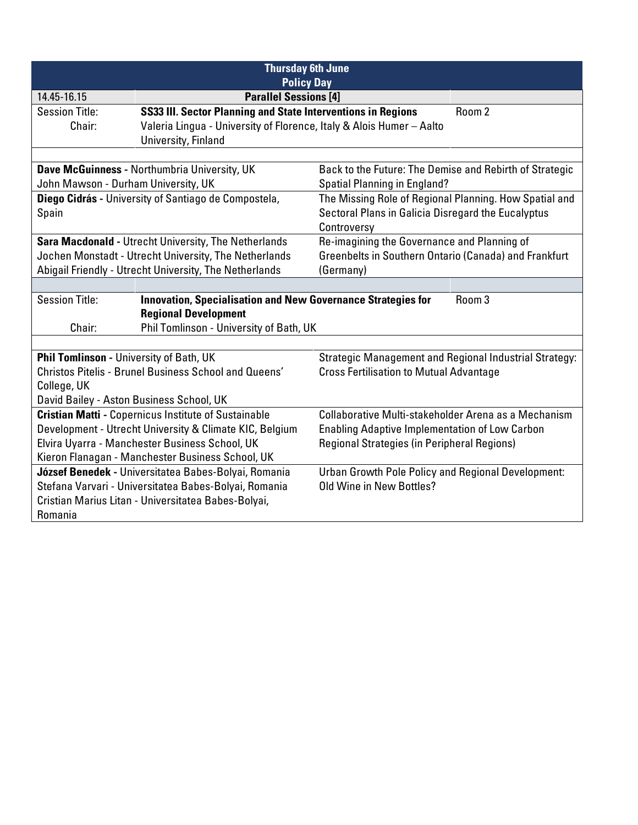| <b>Thursday 6th June</b><br><b>Policy Day</b>                                                          |                                                                      |                                                         |                                                        |
|--------------------------------------------------------------------------------------------------------|----------------------------------------------------------------------|---------------------------------------------------------|--------------------------------------------------------|
|                                                                                                        |                                                                      |                                                         |                                                        |
| 14.45-16.15                                                                                            | <b>Parallel Sessions [4]</b>                                         |                                                         |                                                        |
| <b>Session Title:</b>                                                                                  | SS33 III. Sector Planning and State Interventions in Regions         |                                                         | Room 2                                                 |
| Chair:                                                                                                 | Valeria Lingua - University of Florence, Italy & Alois Humer - Aalto |                                                         |                                                        |
|                                                                                                        | University, Finland                                                  |                                                         |                                                        |
|                                                                                                        |                                                                      |                                                         |                                                        |
|                                                                                                        | Dave McGuinness - Northumbria University, UK                         | Back to the Future: The Demise and Rebirth of Strategic |                                                        |
| John Mawson - Durham University, UK                                                                    |                                                                      | <b>Spatial Planning in England?</b>                     |                                                        |
|                                                                                                        | Diego Cidrás - University of Santiago de Compostela,                 | The Missing Role of Regional Planning. How Spatial and  |                                                        |
| Spain                                                                                                  |                                                                      | Sectoral Plans in Galicia Disregard the Eucalyptus      |                                                        |
|                                                                                                        |                                                                      | Controversy                                             |                                                        |
|                                                                                                        | Sara Macdonald - Utrecht University, The Netherlands                 | Re-imagining the Governance and Planning of             |                                                        |
|                                                                                                        | Jochen Monstadt - Utrecht University, The Netherlands                | Greenbelts in Southern Ontario (Canada) and Frankfurt   |                                                        |
| Abigail Friendly - Utrecht University, The Netherlands                                                 |                                                                      | (Germany)                                               |                                                        |
|                                                                                                        |                                                                      |                                                         |                                                        |
| <b>Session Title:</b><br>Room 3<br><b>Innovation, Specialisation and New Governance Strategies for</b> |                                                                      |                                                         |                                                        |
| <b>Regional Development</b>                                                                            |                                                                      |                                                         |                                                        |
| Chair:                                                                                                 | Phil Tomlinson - University of Bath, UK                              |                                                         |                                                        |
|                                                                                                        |                                                                      |                                                         |                                                        |
| Phil Tomlinson - University of Bath, UK                                                                |                                                                      |                                                         | Strategic Management and Regional Industrial Strategy: |
|                                                                                                        | <b>Christos Pitelis - Brunel Business School and Queens'</b>         | <b>Cross Fertilisation to Mutual Advantage</b>          |                                                        |
| College, UK                                                                                            |                                                                      |                                                         |                                                        |
| David Bailey - Aston Business School, UK                                                               |                                                                      |                                                         |                                                        |
|                                                                                                        | <b>Cristian Matti - Copernicus Institute of Sustainable</b>          | Collaborative Multi-stakeholder Arena as a Mechanism    |                                                        |
|                                                                                                        | Development - Utrecht University & Climate KIC, Belgium              | <b>Enabling Adaptive Implementation of Low Carbon</b>   |                                                        |
|                                                                                                        | Elvira Uyarra - Manchester Business School, UK                       | Regional Strategies (in Peripheral Regions)             |                                                        |
|                                                                                                        | Kieron Flanagan - Manchester Business School, UK                     |                                                         |                                                        |
|                                                                                                        | József Benedek - Universitatea Babes-Bolyai, Romania                 | Urban Growth Pole Policy and Regional Development:      |                                                        |
|                                                                                                        | Stefana Varvari - Universitatea Babes-Bolyai, Romania                | Old Wine in New Bottles?                                |                                                        |
| Cristian Marius Litan - Universitatea Babes-Bolyai,                                                    |                                                                      |                                                         |                                                        |
| Romania                                                                                                |                                                                      |                                                         |                                                        |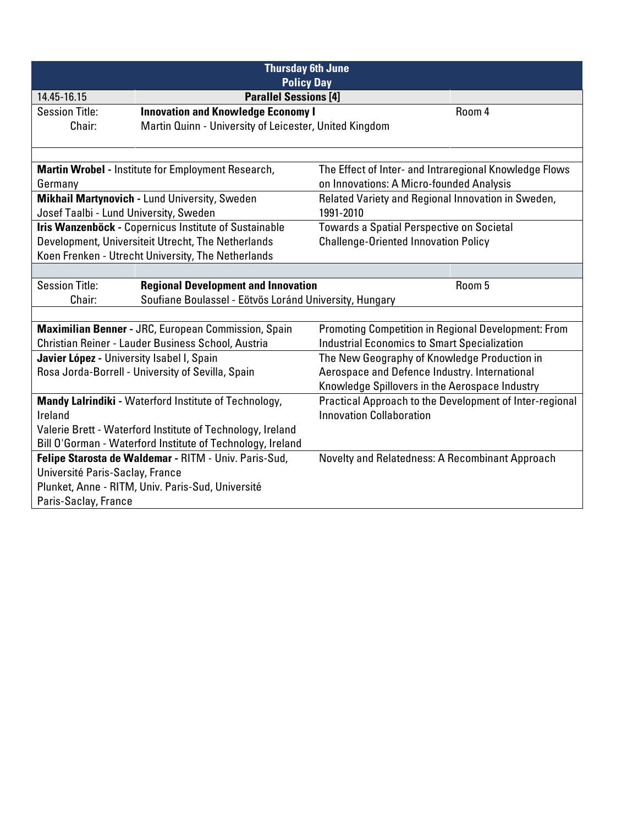| <b>Thursday 6th June</b><br><b>Policy Day</b>              |                                                            |                                                            |                                                         |
|------------------------------------------------------------|------------------------------------------------------------|------------------------------------------------------------|---------------------------------------------------------|
| 14.45-16.15                                                | <b>Parallel Sessions [4]</b>                               |                                                            |                                                         |
| <b>Session Title:</b>                                      | <b>Innovation and Knowledge Economy I</b>                  |                                                            | Room 4                                                  |
| Chair:                                                     | Martin Quinn - University of Leicester, United Kingdom     |                                                            |                                                         |
|                                                            |                                                            |                                                            |                                                         |
|                                                            | Martin Wrobel - Institute for Employment Research,         | The Effect of Inter- and Intraregional Knowledge Flows     |                                                         |
| Germany                                                    |                                                            | on Innovations: A Micro-founded Analysis                   |                                                         |
|                                                            | Mikhail Martynovich - Lund University, Sweden              | Related Variety and Regional Innovation in Sweden,         |                                                         |
| Josef Taalbi - Lund University, Sweden                     |                                                            | 1991-2010                                                  |                                                         |
|                                                            | Iris Wanzenböck - Copernicus Institute of Sustainable      | <b>Towards a Spatial Perspective on Societal</b>           |                                                         |
|                                                            | Development, Universiteit Utrecht, The Netherlands         | <b>Challenge-Oriented Innovation Policy</b>                |                                                         |
|                                                            | Koen Frenken - Utrecht University, The Netherlands         |                                                            |                                                         |
|                                                            |                                                            |                                                            |                                                         |
| <b>Session Title:</b>                                      | <b>Regional Development and Innovation</b>                 |                                                            | Room 5                                                  |
| Chair:                                                     | Soufiane Boulassel - Eötvös Loránd University, Hungary     |                                                            |                                                         |
|                                                            |                                                            |                                                            |                                                         |
|                                                            | Maximilian Benner - JRC, European Commission, Spain        | <b>Promoting Competition in Regional Development: From</b> |                                                         |
|                                                            | Christian Reiner - Lauder Business School, Austria         | <b>Industrial Economics to Smart Specialization</b>        |                                                         |
| Javier López - University Isabel I, Spain                  |                                                            | The New Geography of Knowledge Production in               |                                                         |
|                                                            | Rosa Jorda-Borrell - University of Sevilla, Spain          | Aerospace and Defence Industry. International              |                                                         |
|                                                            |                                                            | Knowledge Spillovers in the Aerospace Industry             |                                                         |
|                                                            | Mandy Lalrindiki - Waterford Institute of Technology,      |                                                            | Practical Approach to the Development of Inter-regional |
| Ireland                                                    |                                                            | <b>Innovation Collaboration</b>                            |                                                         |
| Valerie Brett - Waterford Institute of Technology, Ireland |                                                            |                                                            |                                                         |
|                                                            | Bill O'Gorman - Waterford Institute of Technology, Ireland |                                                            |                                                         |
|                                                            | Felipe Starosta de Waldemar - RITM - Univ. Paris-Sud,      | Novelty and Relatedness: A Recombinant Approach            |                                                         |
| Université Paris-Saclay, France                            |                                                            |                                                            |                                                         |
| Plunket, Anne - RITM, Univ. Paris-Sud, Université          |                                                            |                                                            |                                                         |
| Paris-Saclay, France                                       |                                                            |                                                            |                                                         |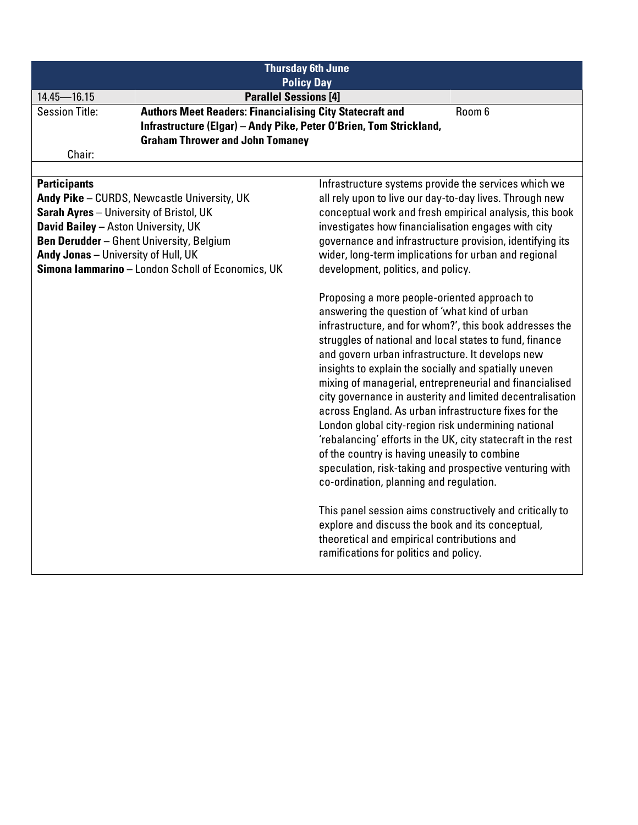| <b>Thursday 6th June</b><br><b>Policy Day</b>                                                                                                                                                                                                                                                              |                                                                                                                                                                                                                                                                                                                                                                                                                                                                                                                                                                                                                                                                                                                                                                                                                                                                                                                                                                                                         |  |
|------------------------------------------------------------------------------------------------------------------------------------------------------------------------------------------------------------------------------------------------------------------------------------------------------------|---------------------------------------------------------------------------------------------------------------------------------------------------------------------------------------------------------------------------------------------------------------------------------------------------------------------------------------------------------------------------------------------------------------------------------------------------------------------------------------------------------------------------------------------------------------------------------------------------------------------------------------------------------------------------------------------------------------------------------------------------------------------------------------------------------------------------------------------------------------------------------------------------------------------------------------------------------------------------------------------------------|--|
| $14.45 - 16.15$                                                                                                                                                                                                                                                                                            | <b>Parallel Sessions [4]</b>                                                                                                                                                                                                                                                                                                                                                                                                                                                                                                                                                                                                                                                                                                                                                                                                                                                                                                                                                                            |  |
| <b>Session Title:</b>                                                                                                                                                                                                                                                                                      | <b>Authors Meet Readers: Financialising City Statecraft and</b><br>Room 6<br>Infrastructure (Elgar) - Andy Pike, Peter O'Brien, Tom Strickland,<br><b>Graham Thrower and John Tomaney</b>                                                                                                                                                                                                                                                                                                                                                                                                                                                                                                                                                                                                                                                                                                                                                                                                               |  |
| Chair:                                                                                                                                                                                                                                                                                                     |                                                                                                                                                                                                                                                                                                                                                                                                                                                                                                                                                                                                                                                                                                                                                                                                                                                                                                                                                                                                         |  |
|                                                                                                                                                                                                                                                                                                            | Infrastructure systems provide the services which we                                                                                                                                                                                                                                                                                                                                                                                                                                                                                                                                                                                                                                                                                                                                                                                                                                                                                                                                                    |  |
| <b>Participants</b><br>Andy Pike - CURDS, Newcastle University, UK<br>Sarah Ayres - University of Bristol, UK<br><b>David Bailey - Aston University, UK</b><br><b>Ben Derudder - Ghent University, Belgium</b><br>Andy Jonas - University of Hull, UK<br>Simona Iammarino - London Scholl of Economics, UK | all rely upon to live our day-to-day lives. Through new<br>conceptual work and fresh empirical analysis, this book<br>investigates how financialisation engages with city<br>governance and infrastructure provision, identifying its<br>wider, long-term implications for urban and regional<br>development, politics, and policy.                                                                                                                                                                                                                                                                                                                                                                                                                                                                                                                                                                                                                                                                     |  |
|                                                                                                                                                                                                                                                                                                            | Proposing a more people-oriented approach to<br>answering the question of 'what kind of urban<br>infrastructure, and for whom?', this book addresses the<br>struggles of national and local states to fund, finance<br>and govern urban infrastructure. It develops new<br>insights to explain the socially and spatially uneven<br>mixing of managerial, entrepreneurial and financialised<br>city governance in austerity and limited decentralisation<br>across England. As urban infrastructure fixes for the<br>London global city-region risk undermining national<br>'rebalancing' efforts in the UK, city statecraft in the rest<br>of the country is having uneasily to combine<br>speculation, risk-taking and prospective venturing with<br>co-ordination, planning and regulation.<br>This panel session aims constructively and critically to<br>explore and discuss the book and its conceptual,<br>theoretical and empirical contributions and<br>ramifications for politics and policy. |  |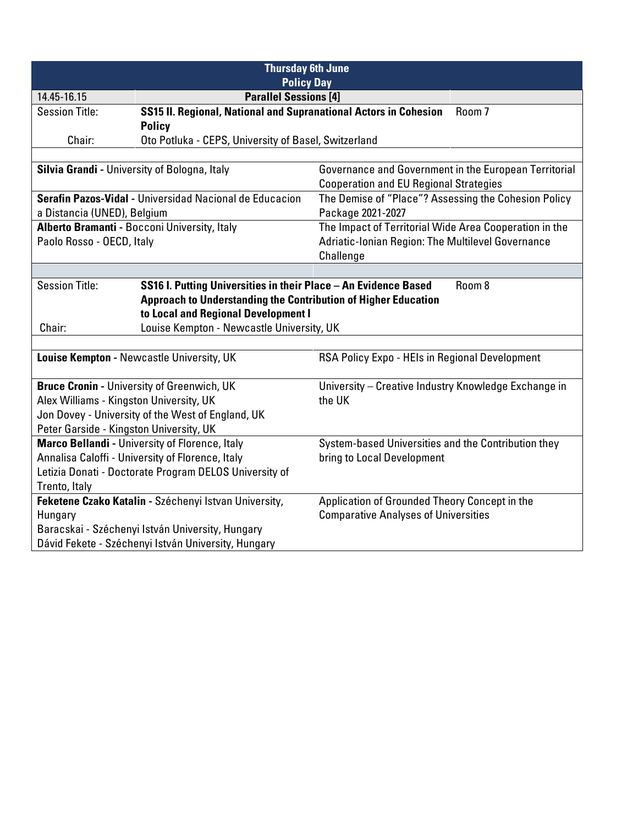| <b>Thursday 6th June</b><br><b>Policy Day</b>       |                                                                       |                                                        |  |
|-----------------------------------------------------|-----------------------------------------------------------------------|--------------------------------------------------------|--|
| 14.45-16.15                                         | <b>Parallel Sessions [4]</b>                                          |                                                        |  |
| <b>Session Title:</b>                               | SS15 II. Regional, National and Supranational Actors in Cohesion      | Room 7                                                 |  |
|                                                     | <b>Policy</b>                                                         |                                                        |  |
| Chair:                                              | Oto Potluka - CEPS, University of Basel, Switzerland                  |                                                        |  |
|                                                     |                                                                       |                                                        |  |
| Silvia Grandi - University of Bologna, Italy        |                                                                       | Governance and Government in the European Territorial  |  |
|                                                     |                                                                       | <b>Cooperation and EU Regional Strategies</b>          |  |
|                                                     | Serafin Pazos-Vidal - Universidad Nacional de Educacion               | The Demise of "Place"? Assessing the Cohesion Policy   |  |
| a Distancia (UNED), Belgium                         |                                                                       | Package 2021-2027                                      |  |
|                                                     | Alberto Bramanti - Bocconi University, Italy                          | The Impact of Territorial Wide Area Cooperation in the |  |
| Paolo Rosso - OECD, Italy                           |                                                                       | Adriatic-Ionian Region: The Multilevel Governance      |  |
|                                                     |                                                                       | Challenge                                              |  |
|                                                     |                                                                       |                                                        |  |
| <b>Session Title:</b>                               | SS16 I. Putting Universities in their Place - An Evidence Based       | Room 8                                                 |  |
|                                                     | <b>Approach to Understanding the Contribution of Higher Education</b> |                                                        |  |
| to Local and Regional Development I                 |                                                                       |                                                        |  |
| Louise Kempton - Newcastle University, UK<br>Chair: |                                                                       |                                                        |  |
|                                                     |                                                                       |                                                        |  |
| Louise Kempton - Newcastle University, UK           |                                                                       | RSA Policy Expo - HEIs in Regional Development         |  |
|                                                     |                                                                       |                                                        |  |
|                                                     | <b>Bruce Cronin - University of Greenwich, UK</b>                     | University - Creative Industry Knowledge Exchange in   |  |
| Alex Williams - Kingston University, UK             |                                                                       | the UK                                                 |  |
|                                                     | Jon Dovey - University of the West of England, UK                     |                                                        |  |
| Peter Garside - Kingston University, UK             |                                                                       |                                                        |  |
|                                                     | Marco Bellandi - University of Florence, Italy                        | System-based Universities and the Contribution they    |  |
|                                                     | Annalisa Caloffi - University of Florence, Italy                      | bring to Local Development                             |  |
|                                                     | Letizia Donati - Doctorate Program DELOS University of                |                                                        |  |
| Trento, Italy                                       |                                                                       |                                                        |  |
|                                                     | Feketene Czako Katalin - Széchenyi Istvan University,                 | Application of Grounded Theory Concept in the          |  |
| Hungary                                             |                                                                       | <b>Comparative Analyses of Universities</b>            |  |
| Baracskai - Széchenyi István University, Hungary    |                                                                       |                                                        |  |
| Dávid Fekete - Széchenyi István University, Hungary |                                                                       |                                                        |  |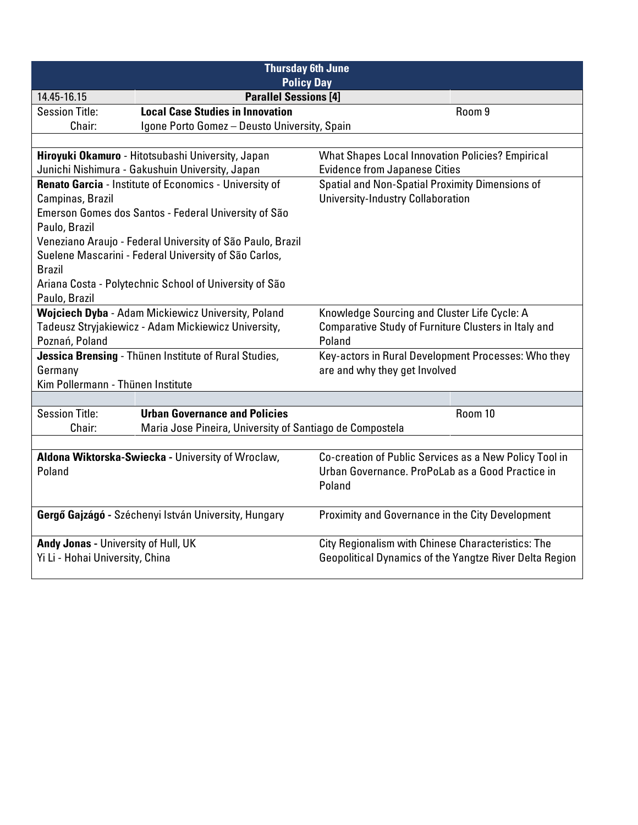| <b>Thursday 6th June</b><br><b>Policy Day</b>                           |                                                            |                                                         |  |
|-------------------------------------------------------------------------|------------------------------------------------------------|---------------------------------------------------------|--|
| 14.45-16.15                                                             | <b>Parallel Sessions [4]</b>                               |                                                         |  |
| <b>Session Title:</b>                                                   | <b>Local Case Studies in Innovation</b>                    | Room 9                                                  |  |
| Chair:                                                                  | Igone Porto Gomez - Deusto University, Spain               |                                                         |  |
|                                                                         |                                                            |                                                         |  |
|                                                                         | Hiroyuki Okamuro - Hitotsubashi University, Japan          | <b>What Shapes Local Innovation Policies? Empirical</b> |  |
|                                                                         | Junichi Nishimura - Gakushuin University, Japan            | <b>Evidence from Japanese Cities</b>                    |  |
|                                                                         | Renato Garcia - Institute of Economics - University of     | Spatial and Non-Spatial Proximity Dimensions of         |  |
| Campinas, Brazil                                                        |                                                            | <b>University-Industry Collaboration</b>                |  |
|                                                                         | Emerson Gomes dos Santos - Federal University of São       |                                                         |  |
| Paulo, Brazil                                                           |                                                            |                                                         |  |
|                                                                         | Veneziano Araujo - Federal University of São Paulo, Brazil |                                                         |  |
|                                                                         | Suelene Mascarini - Federal University of São Carlos,      |                                                         |  |
| <b>Brazil</b>                                                           |                                                            |                                                         |  |
|                                                                         | Ariana Costa - Polytechnic School of University of São     |                                                         |  |
| Paulo, Brazil                                                           |                                                            |                                                         |  |
| Wojciech Dyba - Adam Mickiewicz University, Poland                      |                                                            | Knowledge Sourcing and Cluster Life Cycle: A            |  |
| Tadeusz Stryjakiewicz - Adam Mickiewicz University,                     |                                                            | Comparative Study of Furniture Clusters in Italy and    |  |
| Poznań, Poland<br>Jessica Brensing - Thünen Institute of Rural Studies, |                                                            | Poland                                                  |  |
|                                                                         |                                                            | Key-actors in Rural Development Processes: Who they     |  |
| Germany                                                                 |                                                            | are and why they get Involved                           |  |
| Kim Pollermann - Thünen Institute                                       |                                                            |                                                         |  |
| <b>Session Title:</b>                                                   | <b>Urban Governance and Policies</b>                       | Room 10                                                 |  |
| Chair:                                                                  |                                                            |                                                         |  |
|                                                                         | Maria Jose Pineira, University of Santiago de Compostela   |                                                         |  |
|                                                                         | Aldona Wiktorska-Swiecka - University of Wroclaw,          | Co-creation of Public Services as a New Policy Tool in  |  |
| Poland                                                                  |                                                            | Urban Governance, ProPoLab as a Good Practice in        |  |
|                                                                         |                                                            | Poland                                                  |  |
|                                                                         |                                                            |                                                         |  |
| Gergő Gajzágó - Széchenyi István University, Hungary                    |                                                            | Proximity and Governance in the City Development        |  |
|                                                                         |                                                            |                                                         |  |
| Andy Jonas - University of Hull, UK                                     |                                                            | City Regionalism with Chinese Characteristics: The      |  |
| Yi Li - Hohai University, China                                         |                                                            | Geopolitical Dynamics of the Yangtze River Delta Region |  |
|                                                                         |                                                            |                                                         |  |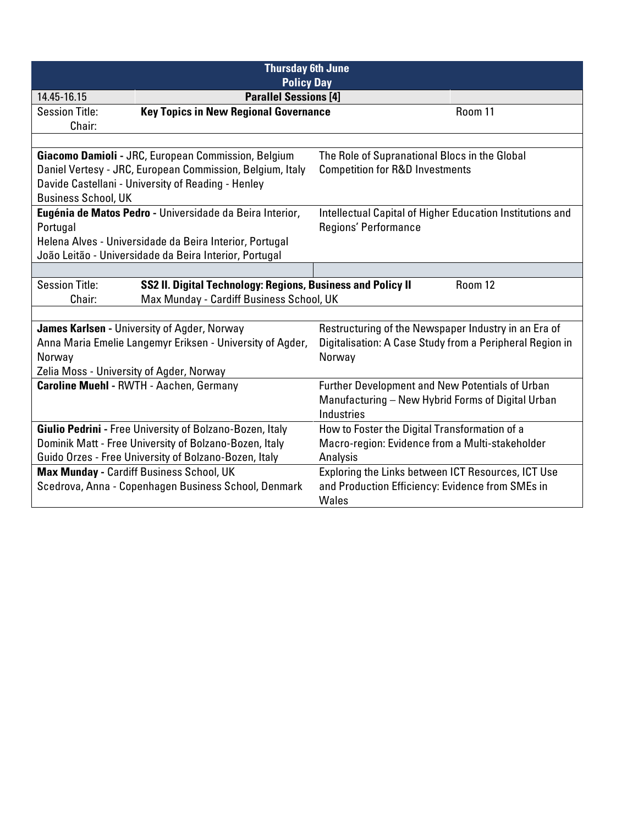| <b>Thursday 6th June</b><br><b>Policy Day</b>                                                   |                                                           |                                                                                   |         |
|-------------------------------------------------------------------------------------------------|-----------------------------------------------------------|-----------------------------------------------------------------------------------|---------|
| 14.45-16.15                                                                                     | <b>Parallel Sessions [4]</b>                              |                                                                                   |         |
| <b>Session Title:</b>                                                                           | <b>Key Topics in New Regional Governance</b>              |                                                                                   | Room 11 |
| Chair:                                                                                          |                                                           |                                                                                   |         |
|                                                                                                 |                                                           |                                                                                   |         |
|                                                                                                 | Giacomo Damioli - JRC, European Commission, Belgium       | The Role of Supranational Blocs in the Global                                     |         |
|                                                                                                 | Daniel Vertesy - JRC, European Commission, Belgium, Italy | <b>Competition for R&amp;D Investments</b>                                        |         |
|                                                                                                 | Davide Castellani - University of Reading - Henley        |                                                                                   |         |
| <b>Business School, UK</b>                                                                      |                                                           |                                                                                   |         |
|                                                                                                 | Eugénia de Matos Pedro - Universidade da Beira Interior,  | Intellectual Capital of Higher Education Institutions and<br>Regions' Performance |         |
| Portugal                                                                                        | Helena Alves - Universidade da Beira Interior, Portugal   |                                                                                   |         |
|                                                                                                 | João Leitão - Universidade da Beira Interior, Portugal    |                                                                                   |         |
|                                                                                                 |                                                           |                                                                                   |         |
| <b>Session Title:</b><br>SS2 II. Digital Technology: Regions, Business and Policy II<br>Room 12 |                                                           |                                                                                   |         |
| Max Munday - Cardiff Business School, UK<br>Chair:                                              |                                                           |                                                                                   |         |
|                                                                                                 |                                                           |                                                                                   |         |
|                                                                                                 | James Karlsen - University of Agder, Norway               | Restructuring of the Newspaper Industry in an Era of                              |         |
|                                                                                                 | Anna Maria Emelie Langemyr Eriksen - University of Agder, | Digitalisation: A Case Study from a Peripheral Region in                          |         |
| Norway                                                                                          |                                                           | Norway                                                                            |         |
| Zelia Moss - University of Agder, Norway                                                        |                                                           |                                                                                   |         |
|                                                                                                 | <b>Caroline Muehl - RWTH - Aachen, Germany</b>            | <b>Further Development and New Potentials of Urban</b>                            |         |
|                                                                                                 |                                                           | Manufacturing - New Hybrid Forms of Digital Urban                                 |         |
|                                                                                                 |                                                           | Industries                                                                        |         |
|                                                                                                 | Giulio Pedrini - Free University of Bolzano-Bozen, Italy  | How to Foster the Digital Transformation of a                                     |         |
|                                                                                                 | Dominik Matt - Free University of Bolzano-Bozen, Italy    | Macro-region: Evidence from a Multi-stakeholder                                   |         |
|                                                                                                 | Guido Orzes - Free University of Bolzano-Bozen, Italy     | Analysis                                                                          |         |
|                                                                                                 | Max Munday - Cardiff Business School, UK                  | Exploring the Links between ICT Resources, ICT Use                                |         |
|                                                                                                 | Scedrova, Anna - Copenhagen Business School, Denmark      | and Production Efficiency: Evidence from SMEs in                                  |         |
|                                                                                                 |                                                           | Wales                                                                             |         |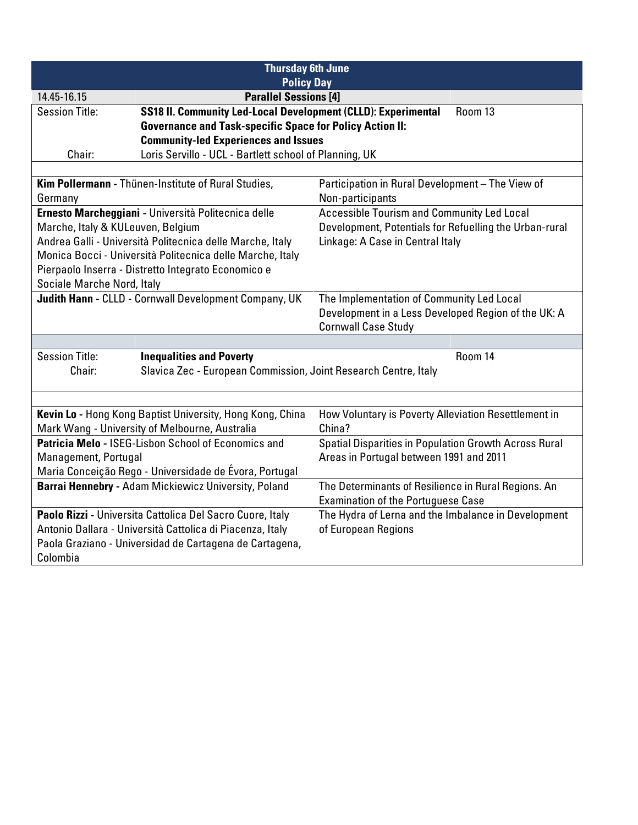| <b>Thursday 6th June</b><br><b>Policy Day</b>         |                                                                 |                                                        |  |
|-------------------------------------------------------|-----------------------------------------------------------------|--------------------------------------------------------|--|
| 14.45-16.15                                           | <b>Parallel Sessions [4]</b>                                    |                                                        |  |
| <b>Session Title:</b>                                 | SS18 II. Community Led-Local Development (CLLD): Experimental   | Room 13                                                |  |
|                                                       | <b>Governance and Task-specific Space for Policy Action II:</b> |                                                        |  |
|                                                       | <b>Community-led Experiences and Issues</b>                     |                                                        |  |
| Chair:                                                | Loris Servillo - UCL - Bartlett school of Planning, UK          |                                                        |  |
|                                                       |                                                                 |                                                        |  |
|                                                       | Kim Pollermann - Thünen-Institute of Rural Studies,             | Participation in Rural Development - The View of       |  |
| Germany                                               |                                                                 | Non-participants                                       |  |
|                                                       | Ernesto Marcheggiani - Università Politecnica delle             | <b>Accessible Tourism and Community Led Local</b>      |  |
| Marche, Italy & KULeuven, Belgium                     |                                                                 | Development, Potentials for Refuelling the Urban-rural |  |
|                                                       | Andrea Galli - Università Politecnica delle Marche, Italy       | Linkage: A Case in Central Italy                       |  |
|                                                       | Monica Bocci - Università Politecnica delle Marche, Italy       |                                                        |  |
|                                                       | Pierpaolo Inserra - Distretto Integrato Economico e             |                                                        |  |
| Sociale Marche Nord, Italy                            |                                                                 |                                                        |  |
| Judith Hann - CLLD - Cornwall Development Company, UK |                                                                 | The Implementation of Community Led Local              |  |
|                                                       |                                                                 | Development in a Less Developed Region of the UK: A    |  |
|                                                       | <b>Cornwall Case Study</b>                                      |                                                        |  |
|                                                       |                                                                 |                                                        |  |
| <b>Session Title:</b>                                 | <b>Inequalities and Poverty</b>                                 | Room 14                                                |  |
| Chair:                                                | Slavica Zec - European Commission, Joint Research Centre, Italy |                                                        |  |
|                                                       |                                                                 |                                                        |  |
|                                                       | Kevin Lo - Hong Kong Baptist University, Hong Kong, China       | How Voluntary is Poverty Alleviation Resettlement in   |  |
|                                                       | Mark Wang - University of Melbourne, Australia                  | China?                                                 |  |
|                                                       | Patricia Melo - ISEG-Lisbon School of Economics and             | Spatial Disparities in Population Growth Across Rural  |  |
| Management, Portugal                                  |                                                                 | Areas in Portugal between 1991 and 2011                |  |
|                                                       | Maria Conceição Rego - Universidade de Évora, Portugal          |                                                        |  |
|                                                       | Barrai Hennebry - Adam Mickiewicz University, Poland            | The Determinants of Resilience in Rural Regions. An    |  |
|                                                       |                                                                 | <b>Examination of the Portuguese Case</b>              |  |
|                                                       | Paolo Rizzi - Universita Cattolica Del Sacro Cuore, Italy       | The Hydra of Lerna and the Imbalance in Development    |  |
|                                                       | Antonio Dallara - Università Cattolica di Piacenza, Italy       | of European Regions                                    |  |
|                                                       | Paola Graziano - Universidad de Cartagena de Cartagena,         |                                                        |  |
| Colombia                                              |                                                                 |                                                        |  |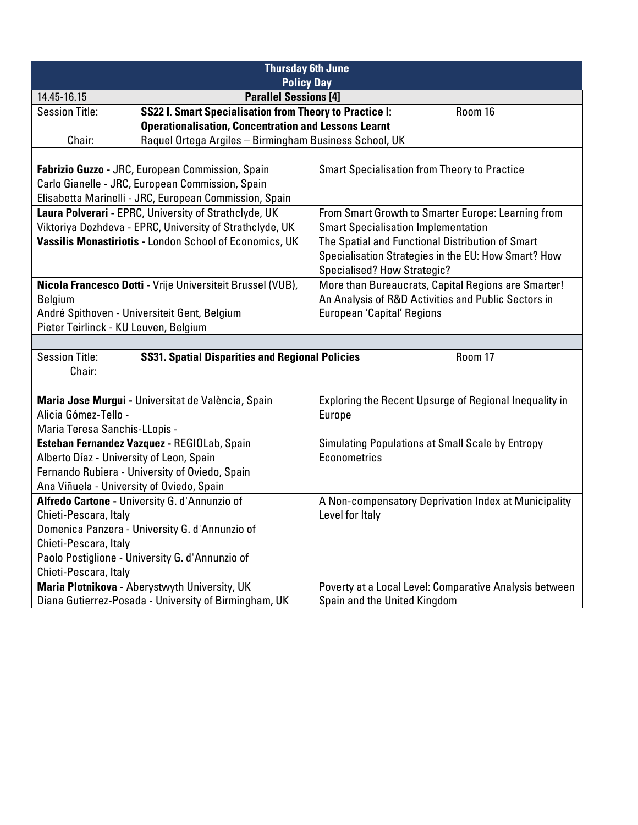| <b>Thursday 6th June</b>                                                                               |                                                         |  |  |
|--------------------------------------------------------------------------------------------------------|---------------------------------------------------------|--|--|
| <b>Policy Day</b><br><b>Parallel Sessions [4]</b>                                                      |                                                         |  |  |
| 14.45-16.15<br><b>SS22 I. Smart Specialisation from Theory to Practice I:</b><br><b>Session Title:</b> | Room 16                                                 |  |  |
| <b>Operationalisation, Concentration and Lessons Learnt</b>                                            |                                                         |  |  |
| Chair:<br>Raquel Ortega Argiles - Birmingham Business School, UK                                       |                                                         |  |  |
|                                                                                                        |                                                         |  |  |
| Fabrizio Guzzo - JRC, European Commission, Spain                                                       | <b>Smart Specialisation from Theory to Practice</b>     |  |  |
| Carlo Gianelle - JRC, European Commission, Spain                                                       |                                                         |  |  |
| Elisabetta Marinelli - JRC, European Commission, Spain                                                 |                                                         |  |  |
| Laura Polverari - EPRC, University of Strathclyde, UK                                                  | From Smart Growth to Smarter Europe: Learning from      |  |  |
| Viktoriya Dozhdeva - EPRC, University of Strathclyde, UK                                               | <b>Smart Specialisation Implementation</b>              |  |  |
| Vassilis Monastiriotis - London School of Economics, UK                                                | The Spatial and Functional Distribution of Smart        |  |  |
|                                                                                                        | Specialisation Strategies in the EU: How Smart? How     |  |  |
|                                                                                                        | Specialised? How Strategic?                             |  |  |
| Nicola Francesco Dotti - Vrije Universiteit Brussel (VUB),                                             | More than Bureaucrats, Capital Regions are Smarter!     |  |  |
| <b>Belgium</b>                                                                                         | An Analysis of R&D Activities and Public Sectors in     |  |  |
| André Spithoven - Universiteit Gent, Belgium                                                           | <b>European 'Capital' Regions</b>                       |  |  |
| Pieter Teirlinck - KU Leuven, Belgium                                                                  |                                                         |  |  |
|                                                                                                        |                                                         |  |  |
| <b>Session Title:</b><br><b>SS31. Spatial Disparities and Regional Policies</b><br>Room 17             |                                                         |  |  |
| Chair:                                                                                                 |                                                         |  |  |
|                                                                                                        |                                                         |  |  |
| Maria Jose Murgui - Universitat de València, Spain<br>Alicia Gómez-Tello -                             | Exploring the Recent Upsurge of Regional Inequality in  |  |  |
|                                                                                                        | <b>Europe</b>                                           |  |  |
| Maria Teresa Sanchis-LLopis -<br>Esteban Fernandez Vazquez - REGIOLab, Spain                           | <b>Simulating Populations at Small Scale by Entropy</b> |  |  |
| Alberto Díaz - University of Leon, Spain                                                               | Econometrics                                            |  |  |
| Fernando Rubiera - University of Oviedo, Spain                                                         |                                                         |  |  |
| Ana Viñuela - University of Oviedo, Spain                                                              |                                                         |  |  |
| Alfredo Cartone - University G. d'Annunzio of                                                          | A Non-compensatory Deprivation Index at Municipality    |  |  |
| Chieti-Pescara, Italy                                                                                  | Level for Italy                                         |  |  |
| Domenica Panzera - University G. d'Annunzio of                                                         |                                                         |  |  |
| Chieti-Pescara, Italy                                                                                  |                                                         |  |  |
| Paolo Postiglione - University G. d'Annunzio of                                                        |                                                         |  |  |
| Chieti-Pescara, Italy                                                                                  |                                                         |  |  |
| Maria Plotnikova - Aberystwyth University, UK                                                          | Poverty at a Local Level: Comparative Analysis between  |  |  |
| Diana Gutierrez-Posada - University of Birmingham, UK                                                  | Spain and the United Kingdom                            |  |  |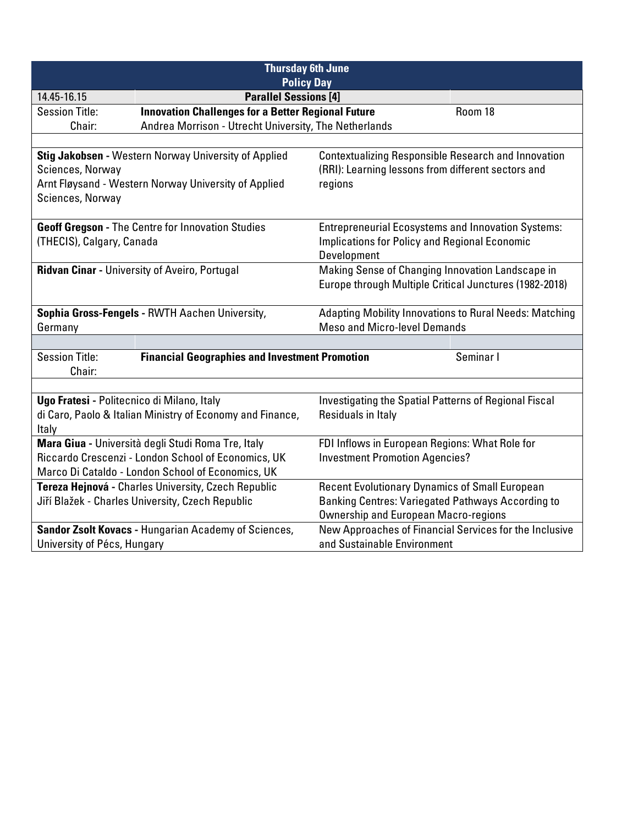| <b>Thursday 6th June</b><br><b>Policy Day</b>                                                                   |                                                                                                         |                                                                                                                   |                                                        |
|-----------------------------------------------------------------------------------------------------------------|---------------------------------------------------------------------------------------------------------|-------------------------------------------------------------------------------------------------------------------|--------------------------------------------------------|
| 14.45-16.15                                                                                                     | <b>Parallel Sessions [4]</b>                                                                            |                                                                                                                   |                                                        |
| <b>Session Title:</b>                                                                                           | <b>Innovation Challenges for a Better Regional Future</b>                                               |                                                                                                                   | Room 18                                                |
| Chair:                                                                                                          | Andrea Morrison - Utrecht University, The Netherlands                                                   |                                                                                                                   |                                                        |
|                                                                                                                 |                                                                                                         |                                                                                                                   |                                                        |
|                                                                                                                 | Stig Jakobsen - Western Norway University of Applied                                                    | <b>Contextualizing Responsible Research and Innovation</b>                                                        |                                                        |
| Sciences, Norway                                                                                                |                                                                                                         | (RRI): Learning lessons from different sectors and                                                                |                                                        |
|                                                                                                                 | Arnt Fløysand - Western Norway University of Applied                                                    | regions                                                                                                           |                                                        |
| Sciences, Norway                                                                                                |                                                                                                         |                                                                                                                   |                                                        |
|                                                                                                                 | <b>Geoff Gregson - The Centre for Innovation Studies</b>                                                | <b>Entrepreneurial Ecosystems and Innovation Systems:</b>                                                         |                                                        |
| (THECIS), Calgary, Canada                                                                                       |                                                                                                         | <b>Implications for Policy and Regional Economic</b>                                                              |                                                        |
|                                                                                                                 |                                                                                                         | Development                                                                                                       |                                                        |
|                                                                                                                 | <b>Ridvan Cinar - University of Aveiro, Portugal</b>                                                    | Making Sense of Changing Innovation Landscape in                                                                  |                                                        |
|                                                                                                                 |                                                                                                         | Europe through Multiple Critical Junctures (1982-2018)                                                            |                                                        |
| Sophia Gross-Fengels - RWTH Aachen University,<br><b>Adapting Mobility Innovations to Rural Needs: Matching</b> |                                                                                                         |                                                                                                                   |                                                        |
| Germany                                                                                                         |                                                                                                         | <b>Meso and Micro-level Demands</b>                                                                               |                                                        |
|                                                                                                                 |                                                                                                         |                                                                                                                   |                                                        |
| <b>Session Title:</b><br>Chair:                                                                                 | <b>Financial Geographies and Investment Promotion</b>                                                   |                                                                                                                   | Seminar I                                              |
|                                                                                                                 |                                                                                                         |                                                                                                                   |                                                        |
| Ugo Fratesi - Politecnico di Milano, Italy                                                                      |                                                                                                         | Investigating the Spatial Patterns of Regional Fiscal                                                             |                                                        |
|                                                                                                                 | di Caro, Paolo & Italian Ministry of Economy and Finance,                                               | Residuals in Italy                                                                                                |                                                        |
| Italy                                                                                                           |                                                                                                         |                                                                                                                   |                                                        |
|                                                                                                                 | Mara Giua - Università degli Studi Roma Tre, Italy                                                      | FDI Inflows in European Regions: What Role for                                                                    |                                                        |
|                                                                                                                 | Riccardo Crescenzi - London School of Economics, UK                                                     | <b>Investment Promotion Agencies?</b>                                                                             |                                                        |
|                                                                                                                 | Marco Di Cataldo - London School of Economics, UK                                                       |                                                                                                                   |                                                        |
|                                                                                                                 | Tereza Hejnová - Charles University, Czech Republic<br>Jiří Blažek - Charles University, Czech Republic | <b>Recent Evolutionary Dynamics of Small European</b><br><b>Banking Centres: Variegated Pathways According to</b> |                                                        |
|                                                                                                                 |                                                                                                         | <b>Ownership and European Macro-regions</b>                                                                       |                                                        |
|                                                                                                                 | Sandor Zsolt Kovacs - Hungarian Academy of Sciences,                                                    |                                                                                                                   | New Approaches of Financial Services for the Inclusive |
| University of Pécs, Hungary                                                                                     |                                                                                                         | and Sustainable Environment                                                                                       |                                                        |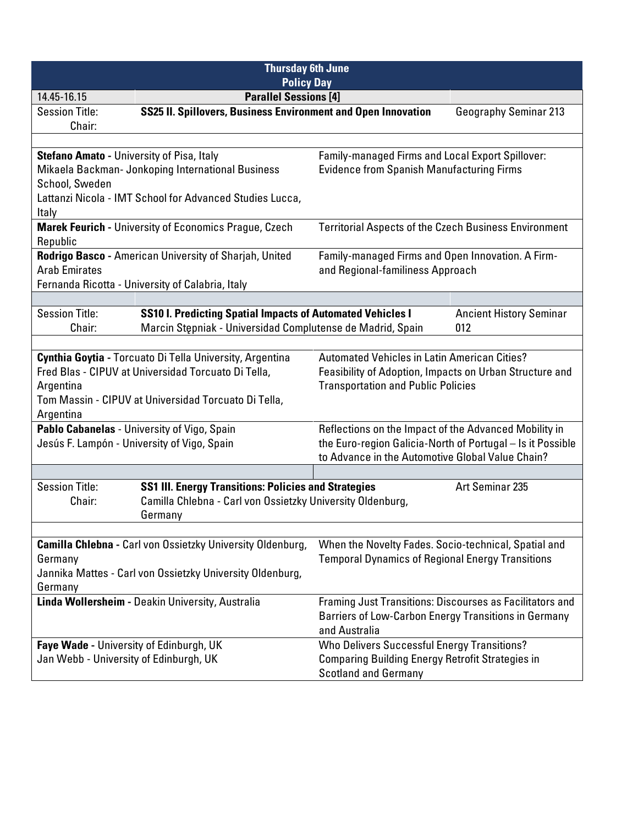| <b>Thursday 6th June</b><br><b>Policy Day</b>                                                                                                                                                     |                                                                                                                                 |                                                                                                                                                             |                                                            |
|---------------------------------------------------------------------------------------------------------------------------------------------------------------------------------------------------|---------------------------------------------------------------------------------------------------------------------------------|-------------------------------------------------------------------------------------------------------------------------------------------------------------|------------------------------------------------------------|
| 14.45-16.15                                                                                                                                                                                       | <b>Parallel Sessions [4]</b>                                                                                                    |                                                                                                                                                             |                                                            |
| <b>Session Title:</b><br>Chair:                                                                                                                                                                   | SS25 II. Spillovers, Business Environment and Open Innovation                                                                   |                                                                                                                                                             | <b>Geography Seminar 213</b>                               |
|                                                                                                                                                                                                   |                                                                                                                                 |                                                                                                                                                             |                                                            |
| <b>Stefano Amato - University of Pisa, Italy</b>                                                                                                                                                  | Mikaela Backman- Jonkoping International Business                                                                               | Family-managed Firms and Local Export Spillover:<br><b>Evidence from Spanish Manufacturing Firms</b>                                                        |                                                            |
| School, Sweden                                                                                                                                                                                    | Lattanzi Nicola - IMT School for Advanced Studies Lucca,                                                                        |                                                                                                                                                             |                                                            |
| Italy                                                                                                                                                                                             |                                                                                                                                 |                                                                                                                                                             |                                                            |
| Republic                                                                                                                                                                                          | Marek Feurich - University of Economics Prague, Czech                                                                           | <b>Territorial Aspects of the Czech Business Environment</b>                                                                                                |                                                            |
| Rodrigo Basco - American University of Sharjah, United<br><b>Arab Emirates</b><br>Fernanda Ricotta - University of Calabria, Italy                                                                |                                                                                                                                 | Family-managed Firms and Open Innovation. A Firm-<br>and Regional-familiness Approach                                                                       |                                                            |
|                                                                                                                                                                                                   |                                                                                                                                 |                                                                                                                                                             |                                                            |
| <b>Session Title:</b><br>Chair:                                                                                                                                                                   | <b>SS10 I. Predicting Spatial Impacts of Automated Vehicles I</b><br>Marcin Stępniak - Universidad Complutense de Madrid, Spain |                                                                                                                                                             | <b>Ancient History Seminar</b><br>012                      |
|                                                                                                                                                                                                   |                                                                                                                                 |                                                                                                                                                             |                                                            |
| Cynthia Goytia - Torcuato Di Tella University, Argentina<br>Fred Blas - CIPUV at Universidad Torcuato Di Tella,<br>Argentina<br>Tom Massin - CIPUV at Universidad Torcuato Di Tella,<br>Argentina |                                                                                                                                 | <b>Automated Vehicles in Latin American Cities?</b><br>Feasibility of Adoption, Impacts on Urban Structure and<br><b>Transportation and Public Policies</b> |                                                            |
|                                                                                                                                                                                                   | Pablo Cabanelas - University of Vigo, Spain                                                                                     | Reflections on the Impact of the Advanced Mobility in                                                                                                       |                                                            |
| Jesús F. Lampón - University of Vigo, Spain                                                                                                                                                       |                                                                                                                                 | to Advance in the Automotive Global Value Chain?                                                                                                            | the Euro-region Galicia-North of Portugal - Is it Possible |
|                                                                                                                                                                                                   |                                                                                                                                 |                                                                                                                                                             |                                                            |
| <b>Session Title:</b><br>Art Seminar 235<br><b>SS1 III. Energy Transitions: Policies and Strategies</b><br>Camilla Chlebna - Carl von Ossietzky University Oldenburg,<br>Chair:<br>Germany        |                                                                                                                                 |                                                                                                                                                             |                                                            |
|                                                                                                                                                                                                   |                                                                                                                                 |                                                                                                                                                             |                                                            |
|                                                                                                                                                                                                   | <b>Camilla Chlebna - Carl von Ossietzky University Oldenburg,</b>                                                               | When the Novelty Fades. Socio-technical, Spatial and                                                                                                        |                                                            |
| Germany                                                                                                                                                                                           | Jannika Mattes - Carl von Ossietzky University Oldenburg,                                                                       | <b>Temporal Dynamics of Regional Energy Transitions</b>                                                                                                     |                                                            |
| Germany                                                                                                                                                                                           |                                                                                                                                 |                                                                                                                                                             |                                                            |
|                                                                                                                                                                                                   | Linda Wollersheim - Deakin University, Australia                                                                                | Barriers of Low-Carbon Energy Transitions in Germany<br>and Australia                                                                                       | Framing Just Transitions: Discourses as Facilitators and   |
| Faye Wade - University of Edinburgh, UK<br>Jan Webb - University of Edinburgh, UK                                                                                                                 |                                                                                                                                 | Who Delivers Successful Energy Transitions?<br><b>Comparing Building Energy Retrofit Strategies in</b><br><b>Scotland and Germany</b>                       |                                                            |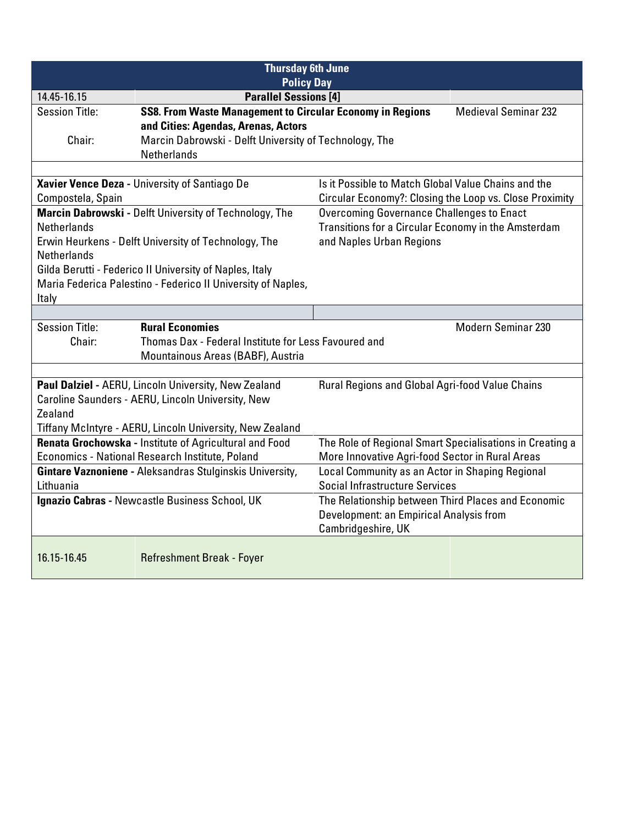| <b>Thursday 6th June</b>                                       |                                                                                                           |                                                                                          |                             |
|----------------------------------------------------------------|-----------------------------------------------------------------------------------------------------------|------------------------------------------------------------------------------------------|-----------------------------|
| <b>Policy Day</b>                                              |                                                                                                           |                                                                                          |                             |
| 14.45-16.15                                                    | <b>Parallel Sessions [4]</b>                                                                              |                                                                                          |                             |
| <b>Session Title:</b>                                          | <b>SS8. From Waste Management to Circular Economy in Regions</b>                                          |                                                                                          | <b>Medieval Seminar 232</b> |
|                                                                | and Cities: Agendas, Arenas, Actors                                                                       |                                                                                          |                             |
| Chair:                                                         | Marcin Dabrowski - Delft University of Technology, The                                                    |                                                                                          |                             |
|                                                                | <b>Netherlands</b>                                                                                        |                                                                                          |                             |
|                                                                |                                                                                                           |                                                                                          |                             |
|                                                                | Xavier Vence Deza - University of Santiago De                                                             | Is it Possible to Match Global Value Chains and the                                      |                             |
| Compostela, Spain                                              |                                                                                                           | Circular Economy?: Closing the Loop vs. Close Proximity                                  |                             |
|                                                                | Marcin Dabrowski - Delft University of Technology, The                                                    | <b>Overcoming Governance Challenges to Enact</b>                                         |                             |
| <b>Netherlands</b>                                             |                                                                                                           | Transitions for a Circular Economy in the Amsterdam                                      |                             |
|                                                                | Erwin Heurkens - Delft University of Technology, The                                                      | and Naples Urban Regions                                                                 |                             |
| <b>Netherlands</b>                                             |                                                                                                           |                                                                                          |                             |
|                                                                | Gilda Berutti - Federico II University of Naples, Italy                                                   |                                                                                          |                             |
|                                                                | Maria Federica Palestino - Federico II University of Naples,                                              |                                                                                          |                             |
| Italy                                                          |                                                                                                           |                                                                                          |                             |
|                                                                |                                                                                                           |                                                                                          |                             |
| <b>Session Title:</b>                                          | <b>Rural Economies</b>                                                                                    |                                                                                          | <b>Modern Seminar 230</b>   |
| Thomas Dax - Federal Institute for Less Favoured and<br>Chair: |                                                                                                           |                                                                                          |                             |
| Mountainous Areas (BABF), Austria                              |                                                                                                           |                                                                                          |                             |
|                                                                |                                                                                                           |                                                                                          |                             |
|                                                                | Paul Dalziel - AERU, Lincoln University, New Zealand                                                      | <b>Rural Regions and Global Agri-food Value Chains</b>                                   |                             |
| Zealand                                                        | Caroline Saunders - AERU, Lincoln University, New                                                         |                                                                                          |                             |
|                                                                |                                                                                                           |                                                                                          |                             |
|                                                                | Tiffany McIntyre - AERU, Lincoln University, New Zealand                                                  |                                                                                          |                             |
|                                                                | Renata Grochowska - Institute of Agricultural and Food<br>Economics - National Research Institute, Poland | The Role of Regional Smart Specialisations in Creating a                                 |                             |
|                                                                |                                                                                                           | More Innovative Agri-food Sector in Rural Areas                                          |                             |
| Lithuania                                                      | Gintare Vaznoniene - Aleksandras Stulginskis University,                                                  | Local Community as an Actor in Shaping Regional<br><b>Social Infrastructure Services</b> |                             |
|                                                                |                                                                                                           |                                                                                          |                             |
|                                                                | Ignazio Cabras - Newcastle Business School, UK                                                            | The Relationship between Third Places and Economic                                       |                             |
|                                                                |                                                                                                           | Development: an Empirical Analysis from<br>Cambridgeshire, UK                            |                             |
|                                                                |                                                                                                           |                                                                                          |                             |
| 16.15-16.45                                                    | <b>Refreshment Break - Foyer</b>                                                                          |                                                                                          |                             |
|                                                                |                                                                                                           |                                                                                          |                             |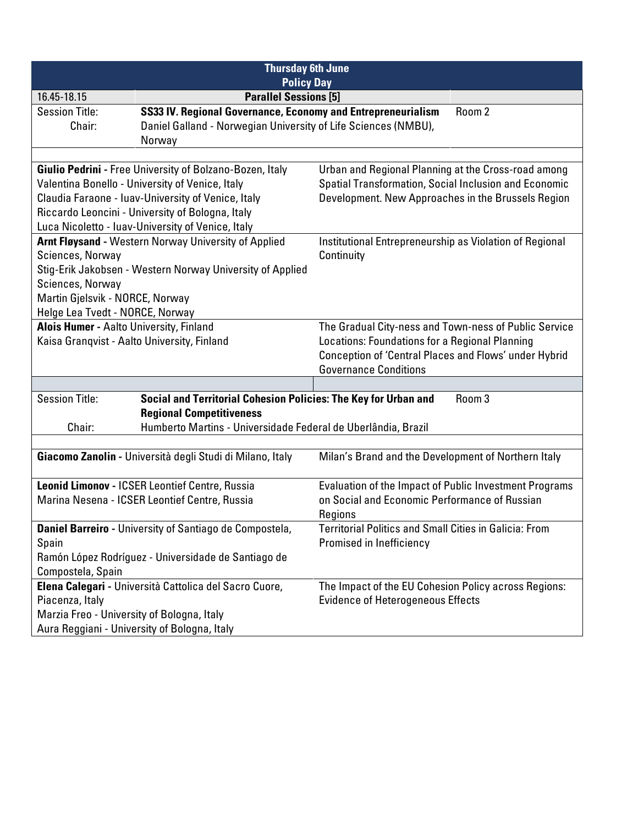| <b>Thursday 6th June</b><br><b>Policy Day</b>                                                                                                                                                                                                                              |                                                                                                                                                    |                                                                                                                                                                                                  |  |
|----------------------------------------------------------------------------------------------------------------------------------------------------------------------------------------------------------------------------------------------------------------------------|----------------------------------------------------------------------------------------------------------------------------------------------------|--------------------------------------------------------------------------------------------------------------------------------------------------------------------------------------------------|--|
| <b>Parallel Sessions [5]</b><br>16.45-18.15                                                                                                                                                                                                                                |                                                                                                                                                    |                                                                                                                                                                                                  |  |
| <b>Session Title:</b><br>Chair:                                                                                                                                                                                                                                            | SS33 IV. Regional Governance, Economy and Entrepreneurialism<br>Room 2<br>Daniel Galland - Norwegian University of Life Sciences (NMBU),<br>Norway |                                                                                                                                                                                                  |  |
| Giulio Pedrini - Free University of Bolzano-Bozen, Italy<br>Valentina Bonello - University of Venice, Italy<br>Claudia Faraone - Iuav-University of Venice, Italy<br>Riccardo Leoncini - University of Bologna, Italy<br>Luca Nicoletto - luav-University of Venice, Italy |                                                                                                                                                    | Urban and Regional Planning at the Cross-road among<br>Spatial Transformation, Social Inclusion and Economic<br>Development. New Approaches in the Brussels Region                               |  |
| Arnt Fløysand - Western Norway University of Applied<br>Sciences, Norway<br>Stig-Erik Jakobsen - Western Norway University of Applied<br>Sciences, Norway<br>Martin Gjelsvik - NORCE, Norway<br>Helge Lea Tvedt - NORCE, Norway                                            |                                                                                                                                                    | Institutional Entrepreneurship as Violation of Regional<br>Continuity                                                                                                                            |  |
| Alois Humer - Aalto University, Finland<br>Kaisa Granqvist - Aalto University, Finland                                                                                                                                                                                     |                                                                                                                                                    | The Gradual City-ness and Town-ness of Public Service<br>Locations: Foundations for a Regional Planning<br>Conception of 'Central Places and Flows' under Hybrid<br><b>Governance Conditions</b> |  |
|                                                                                                                                                                                                                                                                            |                                                                                                                                                    |                                                                                                                                                                                                  |  |
| <b>Session Title:</b><br>Social and Territorial Cohesion Policies: The Key for Urban and<br>Room 3<br><b>Regional Competitiveness</b><br>Humberto Martins - Universidade Federal de Uberlândia, Brazil<br>Chair:                                                           |                                                                                                                                                    |                                                                                                                                                                                                  |  |
|                                                                                                                                                                                                                                                                            | Giacomo Zanolin - Università degli Studi di Milano, Italy                                                                                          | Milan's Brand and the Development of Northern Italy                                                                                                                                              |  |
| Leonid Limonov - ICSER Leontief Centre, Russia<br>Marina Nesena - ICSER Leontief Centre, Russia                                                                                                                                                                            |                                                                                                                                                    | Evaluation of the Impact of Public Investment Programs<br>on Social and Economic Performance of Russian<br>Regions                                                                               |  |
| Daniel Barreiro - University of Santiago de Compostela,<br>Spain<br>Ramón López Rodríguez - Universidade de Santiago de<br>Compostela, Spain                                                                                                                               |                                                                                                                                                    | <b>Territorial Politics and Small Cities in Galicia: From</b><br>Promised in Inefficiency                                                                                                        |  |
| Elena Calegari - Università Cattolica del Sacro Cuore,<br>Piacenza, Italy<br>Marzia Freo - University of Bologna, Italy<br>Aura Reggiani - University of Bologna, Italy                                                                                                    |                                                                                                                                                    | The Impact of the EU Cohesion Policy across Regions:<br><b>Evidence of Heterogeneous Effects</b>                                                                                                 |  |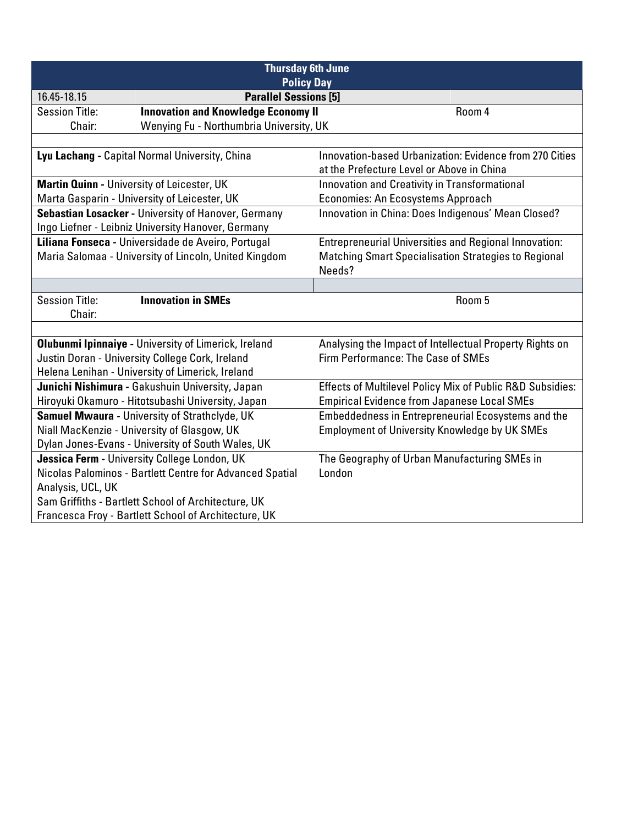| <b>Thursday 6th June</b><br><b>Policy Day</b>                                                               |                                                             |                                                             |                                                              |  |
|-------------------------------------------------------------------------------------------------------------|-------------------------------------------------------------|-------------------------------------------------------------|--------------------------------------------------------------|--|
| 16.45-18.15                                                                                                 | <b>Parallel Sessions [5]</b>                                |                                                             |                                                              |  |
| <b>Session Title:</b>                                                                                       | <b>Innovation and Knowledge Economy II</b>                  |                                                             | Room 4                                                       |  |
| Chair:                                                                                                      | Wenying Fu - Northumbria University, UK                     |                                                             |                                                              |  |
|                                                                                                             |                                                             |                                                             |                                                              |  |
|                                                                                                             | Lyu Lachang - Capital Normal University, China              |                                                             | Innovation-based Urbanization: Evidence from 270 Cities      |  |
|                                                                                                             |                                                             | at the Prefecture Level or Above in China                   |                                                              |  |
| Martin Quinn - University of Leicester, UK                                                                  |                                                             | Innovation and Creativity in Transformational               |                                                              |  |
|                                                                                                             | Marta Gasparin - University of Leicester, UK                | <b>Economies: An Ecosystems Approach</b>                    |                                                              |  |
|                                                                                                             | Sebastian Losacker - University of Hanover, Germany         | Innovation in China: Does Indigenous' Mean Closed?          |                                                              |  |
|                                                                                                             | Ingo Liefner - Leibniz University Hanover, Germany          |                                                             |                                                              |  |
|                                                                                                             | Liliana Fonseca - Universidade de Aveiro, Portugal          |                                                             | <b>Entrepreneurial Universities and Regional Innovation:</b> |  |
|                                                                                                             | Maria Salomaa - University of Lincoln, United Kingdom       | <b>Matching Smart Specialisation Strategies to Regional</b> |                                                              |  |
|                                                                                                             |                                                             | Needs?                                                      |                                                              |  |
|                                                                                                             |                                                             |                                                             |                                                              |  |
| <b>Session Title:</b>                                                                                       | <b>Innovation in SMEs</b>                                   |                                                             | Room 5                                                       |  |
| Chair:                                                                                                      |                                                             |                                                             |                                                              |  |
|                                                                                                             |                                                             |                                                             |                                                              |  |
|                                                                                                             | <b>Olubunmi Ipinnaiye - University of Limerick, Ireland</b> | Analysing the Impact of Intellectual Property Rights on     |                                                              |  |
| Justin Doran - University College Cork, Ireland                                                             |                                                             | Firm Performance: The Case of SMEs                          |                                                              |  |
|                                                                                                             | Helena Lenihan - University of Limerick, Ireland            |                                                             |                                                              |  |
|                                                                                                             | Junichi Nishimura - Gakushuin University, Japan             | Effects of Multilevel Policy Mix of Public R&D Subsidies:   |                                                              |  |
|                                                                                                             | Hiroyuki Okamuro - Hitotsubashi University, Japan           | <b>Empirical Evidence from Japanese Local SMEs</b>          |                                                              |  |
| Samuel Mwaura - University of Strathclyde, UK                                                               |                                                             | Embeddedness in Entrepreneurial Ecosystems and the          |                                                              |  |
| Niall MacKenzie - University of Glasgow, UK                                                                 |                                                             | <b>Employment of University Knowledge by UK SMEs</b>        |                                                              |  |
| Dylan Jones-Evans - University of South Wales, UK                                                           |                                                             |                                                             |                                                              |  |
| Jessica Ferm - University College London, UK                                                                |                                                             | The Geography of Urban Manufacturing SMEs in                |                                                              |  |
| Nicolas Palominos - Bartlett Centre for Advanced Spatial                                                    |                                                             | London                                                      |                                                              |  |
| Analysis, UCL, UK                                                                                           |                                                             |                                                             |                                                              |  |
| Sam Griffiths - Bartlett School of Architecture, UK<br>Francesca Froy - Bartlett School of Architecture, UK |                                                             |                                                             |                                                              |  |
|                                                                                                             |                                                             |                                                             |                                                              |  |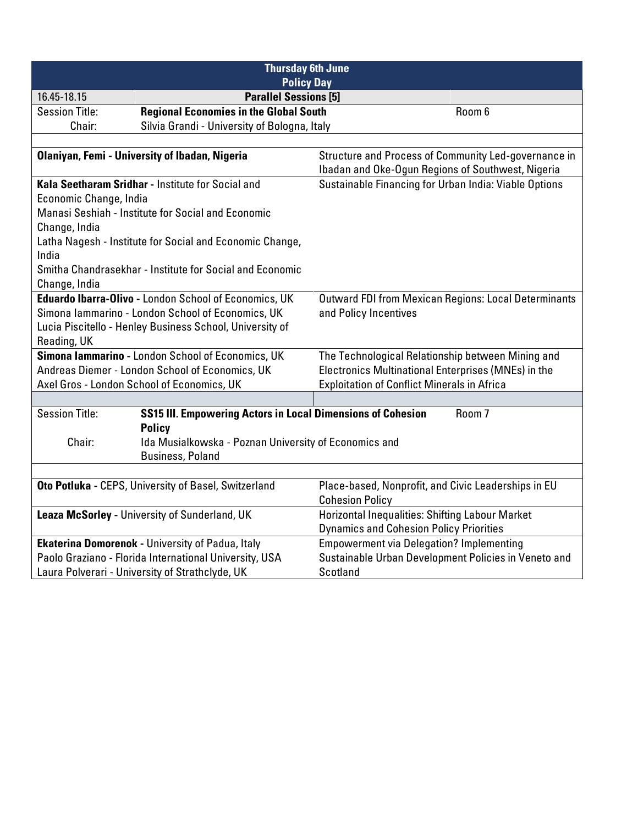| <b>Thursday 6th June</b><br><b>Policy Day</b>          |                                                             |                                                             |  |
|--------------------------------------------------------|-------------------------------------------------------------|-------------------------------------------------------------|--|
| 16.45-18.15                                            | <b>Parallel Sessions [5]</b>                                |                                                             |  |
| <b>Session Title:</b>                                  | <b>Regional Economies in the Global South</b>               | Room 6                                                      |  |
| Chair:                                                 | Silvia Grandi - University of Bologna, Italy                |                                                             |  |
|                                                        |                                                             |                                                             |  |
|                                                        | <b>Olaniyan, Femi - University of Ibadan, Nigeria</b>       | Structure and Process of Community Led-governance in        |  |
|                                                        |                                                             | Ibadan and Oke-Ogun Regions of Southwest, Nigeria           |  |
|                                                        | Kala Seetharam Sridhar - Institute for Social and           | Sustainable Financing for Urban India: Viable Options       |  |
| Economic Change, India                                 |                                                             |                                                             |  |
|                                                        | Manasi Seshiah - Institute for Social and Economic          |                                                             |  |
| Change, India                                          |                                                             |                                                             |  |
| India                                                  | Latha Nagesh - Institute for Social and Economic Change,    |                                                             |  |
|                                                        | Smitha Chandrasekhar - Institute for Social and Economic    |                                                             |  |
|                                                        |                                                             |                                                             |  |
| Change, India                                          | Eduardo Ibarra-Olivo - London School of Economics, UK       |                                                             |  |
|                                                        | Simona Iammarino - London School of Economics, UK           | <b>Outward FDI from Mexican Regions: Local Determinants</b> |  |
|                                                        |                                                             | and Policy Incentives                                       |  |
|                                                        | Lucia Piscitello - Henley Business School, University of    |                                                             |  |
| Reading, UK                                            | Simona lammarino - London School of Economics, UK           | The Technological Relationship between Mining and           |  |
|                                                        | Andreas Diemer - London School of Economics, UK             | Electronics Multinational Enterprises (MNEs) in the         |  |
|                                                        | Axel Gros - London School of Economics, UK                  | <b>Exploitation of Conflict Minerals in Africa</b>          |  |
|                                                        |                                                             |                                                             |  |
| <b>Session Title:</b>                                  | SS15 III. Empowering Actors in Local Dimensions of Cohesion | Room <sub>7</sub>                                           |  |
|                                                        | <b>Policy</b>                                               |                                                             |  |
| Chair:                                                 | Ida Musialkowska - Poznan University of Economics and       |                                                             |  |
|                                                        | <b>Business, Poland</b>                                     |                                                             |  |
|                                                        |                                                             |                                                             |  |
|                                                        |                                                             | Place-based, Nonprofit, and Civic Leaderships in EU         |  |
| Oto Potluka - CEPS, University of Basel, Switzerland   |                                                             | <b>Cohesion Policy</b>                                      |  |
|                                                        | Leaza McSorley - University of Sunderland, UK               | <b>Horizontal Inequalities: Shifting Labour Market</b>      |  |
|                                                        |                                                             | <b>Dynamics and Cohesion Policy Priorities</b>              |  |
|                                                        | <b>Ekaterina Domorenok - University of Padua, Italy</b>     | <b>Empowerment via Delegation? Implementing</b>             |  |
| Paolo Graziano - Florida International University, USA |                                                             | Sustainable Urban Development Policies in Veneto and        |  |
| Laura Polverari - University of Strathclyde, UK        |                                                             | <b>Scotland</b>                                             |  |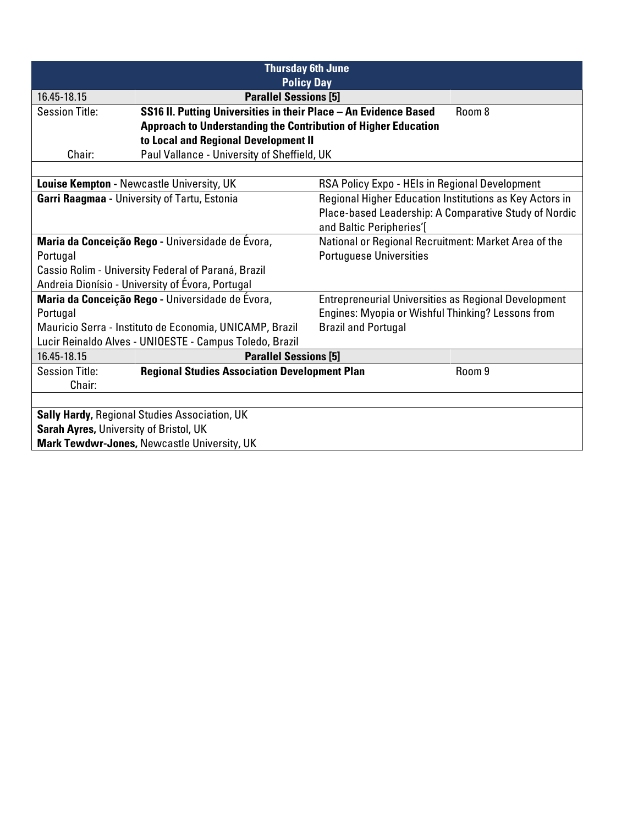| <b>Thursday 6th June</b><br><b>Policy Day</b>                                         |                                                                       |                                                             |                                                       |
|---------------------------------------------------------------------------------------|-----------------------------------------------------------------------|-------------------------------------------------------------|-------------------------------------------------------|
| 16.45-18.15                                                                           | <b>Parallel Sessions [5]</b>                                          |                                                             |                                                       |
| <b>Session Title:</b>                                                                 | SS16 II. Putting Universities in their Place - An Evidence Based      |                                                             | Room 8                                                |
|                                                                                       | <b>Approach to Understanding the Contribution of Higher Education</b> |                                                             |                                                       |
|                                                                                       | to Local and Regional Development II                                  |                                                             |                                                       |
| Chair:                                                                                | Paul Vallance - University of Sheffield, UK                           |                                                             |                                                       |
|                                                                                       |                                                                       |                                                             |                                                       |
|                                                                                       | Louise Kempton - Newcastle University, UK                             | RSA Policy Expo - HEIs in Regional Development              |                                                       |
|                                                                                       | Garri Raagmaa - University of Tartu, Estonia                          | Regional Higher Education Institutions as Key Actors in     |                                                       |
|                                                                                       |                                                                       |                                                             | Place-based Leadership: A Comparative Study of Nordic |
|                                                                                       |                                                                       | and Baltic Peripheries'[                                    |                                                       |
|                                                                                       | Maria da Conceição Rego - Universidade de Évora,                      | National or Regional Recruitment: Market Area of the        |                                                       |
| Portugal                                                                              |                                                                       | <b>Portuguese Universities</b>                              |                                                       |
| Cassio Rolim - University Federal of Paraná, Brazil                                   |                                                                       |                                                             |                                                       |
|                                                                                       | Andreia Dionísio - University of Évora, Portugal                      |                                                             |                                                       |
| Maria da Conceição Rego - Universidade de Évora,                                      |                                                                       | <b>Entrepreneurial Universities as Regional Development</b> |                                                       |
| Portugal                                                                              |                                                                       | Engines: Myopia or Wishful Thinking? Lessons from           |                                                       |
| <b>Brazil and Portugal</b><br>Mauricio Serra - Instituto de Economia, UNICAMP, Brazil |                                                                       |                                                             |                                                       |
|                                                                                       | Lucir Reinaldo Alves - UNIOESTE - Campus Toledo, Brazil               |                                                             |                                                       |
| 16.45-18.15                                                                           | <b>Parallel Sessions [5]</b>                                          |                                                             |                                                       |
| <b>Session Title:</b>                                                                 | <b>Regional Studies Association Development Plan</b>                  |                                                             | Room 9                                                |
| Chair:                                                                                |                                                                       |                                                             |                                                       |
|                                                                                       |                                                                       |                                                             |                                                       |
| Sally Hardy, Regional Studies Association, UK                                         |                                                                       |                                                             |                                                       |
| Sarah Ayres, University of Bristol, UK                                                |                                                                       |                                                             |                                                       |
| Mark Tewdwr-Jones, Newcastle University, UK                                           |                                                                       |                                                             |                                                       |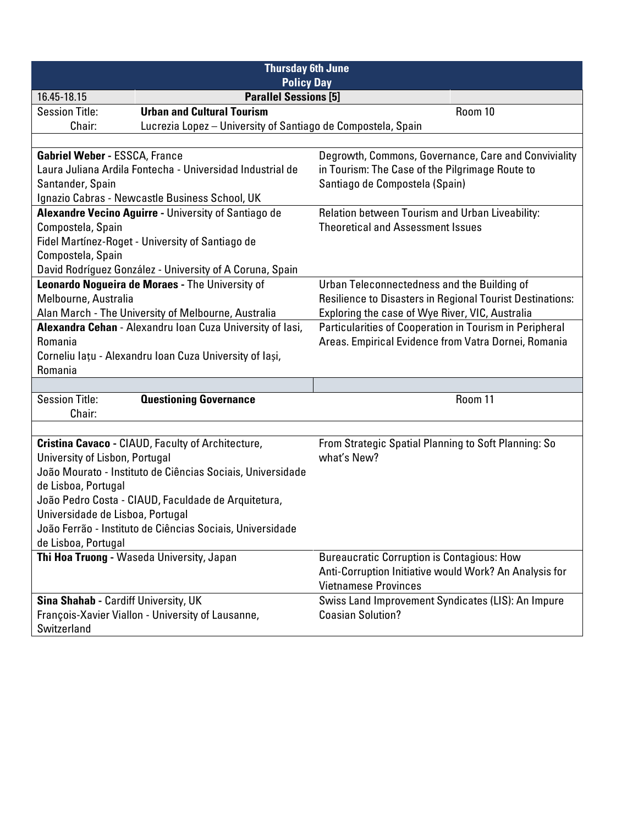| <b>Thursday 6th June</b><br><b>Policy Day</b>                    |                                                              |                                                           |  |
|------------------------------------------------------------------|--------------------------------------------------------------|-----------------------------------------------------------|--|
| <b>Parallel Sessions [5]</b><br>16.45-18.15                      |                                                              |                                                           |  |
| <b>Session Title:</b>                                            | <b>Urban and Cultural Tourism</b>                            | Room 10                                                   |  |
| Chair:                                                           | Lucrezia Lopez - University of Santiago de Compostela, Spain |                                                           |  |
|                                                                  |                                                              |                                                           |  |
| <b>Gabriel Weber - ESSCA, France</b>                             |                                                              | Degrowth, Commons, Governance, Care and Conviviality      |  |
|                                                                  | Laura Juliana Ardila Fontecha - Universidad Industrial de    | in Tourism: The Case of the Pilgrimage Route to           |  |
| Santander, Spain                                                 |                                                              | Santiago de Compostela (Spain)                            |  |
|                                                                  | Ignazio Cabras - Newcastle Business School, UK               |                                                           |  |
|                                                                  | Alexandre Vecino Aguirre - University of Santiago de         | Relation between Tourism and Urban Liveability:           |  |
| Compostela, Spain                                                |                                                              | <b>Theoretical and Assessment Issues</b>                  |  |
|                                                                  | Fidel Martínez-Roget - University of Santiago de             |                                                           |  |
| Compostela, Spain                                                |                                                              |                                                           |  |
|                                                                  | David Rodríguez González - University of A Coruna, Spain     |                                                           |  |
|                                                                  | Leonardo Nogueira de Moraes - The University of              | Urban Teleconnectedness and the Building of               |  |
| Melbourne, Australia                                             |                                                              | Resilience to Disasters in Regional Tourist Destinations: |  |
|                                                                  | Alan March - The University of Melbourne, Australia          | Exploring the case of Wye River, VIC, Australia           |  |
|                                                                  | Alexandra Cehan - Alexandru Ioan Cuza University of lasi,    | Particularities of Cooperation in Tourism in Peripheral   |  |
| Romania                                                          |                                                              | Areas. Empirical Evidence from Vatra Dornei, Romania      |  |
|                                                                  | Corneliu lațu - Alexandru Ioan Cuza University of Iași,      |                                                           |  |
|                                                                  | Romania                                                      |                                                           |  |
|                                                                  |                                                              | Room 11                                                   |  |
| <b>Session Title:</b><br><b>Questioning Governance</b><br>Chair: |                                                              |                                                           |  |
|                                                                  |                                                              |                                                           |  |
|                                                                  | Cristina Cavaco - CIAUD, Faculty of Architecture,            | From Strategic Spatial Planning to Soft Planning: So      |  |
| University of Lisbon, Portugal                                   |                                                              | what's New?                                               |  |
|                                                                  | João Mourato - Instituto de Ciências Sociais, Universidade   |                                                           |  |
| de Lisboa, Portugal                                              |                                                              |                                                           |  |
|                                                                  | João Pedro Costa - CIAUD, Faculdade de Arquitetura,          |                                                           |  |
| Universidade de Lisboa, Portugal                                 |                                                              |                                                           |  |
| João Ferrão - Instituto de Ciências Sociais, Universidade        |                                                              |                                                           |  |
| de Lisboa, Portugal                                              |                                                              |                                                           |  |
|                                                                  | Thi Hoa Truong - Waseda University, Japan                    | <b>Bureaucratic Corruption is Contagious: How</b>         |  |
|                                                                  |                                                              | Anti-Corruption Initiative would Work? An Analysis for    |  |
|                                                                  | <b>Vietnamese Provinces</b>                                  |                                                           |  |
| Sina Shahab - Cardiff University, UK                             |                                                              | Swiss Land Improvement Syndicates (LIS): An Impure        |  |
|                                                                  | François-Xavier Viallon - University of Lausanne,            | <b>Coasian Solution?</b>                                  |  |
| Switzerland                                                      |                                                              |                                                           |  |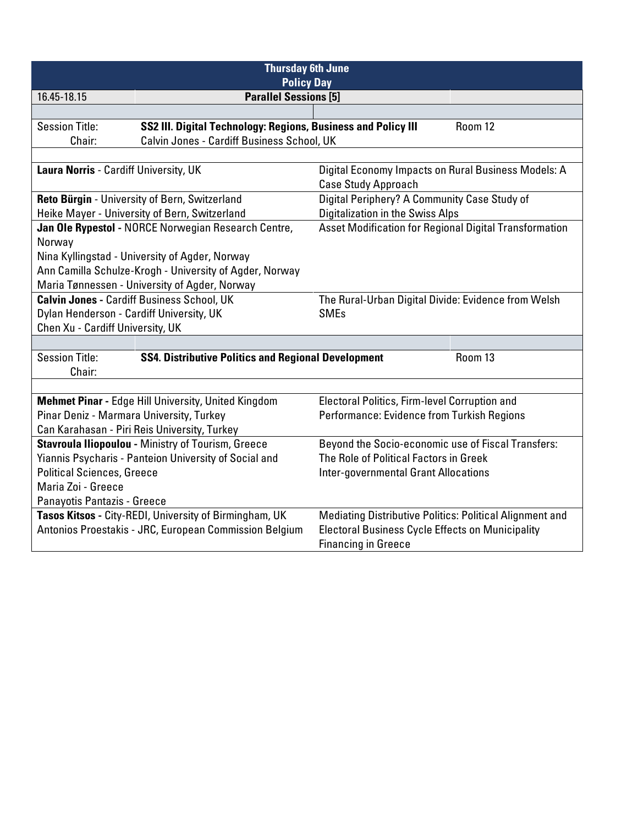| <b>Thursday 6th June</b><br><b>Policy Day</b>                                                                   |                                                               |                                                                                   |         |
|-----------------------------------------------------------------------------------------------------------------|---------------------------------------------------------------|-----------------------------------------------------------------------------------|---------|
| 16.45-18.15                                                                                                     | <b>Parallel Sessions [5]</b>                                  |                                                                                   |         |
|                                                                                                                 |                                                               |                                                                                   |         |
| <b>Session Title:</b>                                                                                           | SS2 III. Digital Technology: Regions, Business and Policy III |                                                                                   | Room 12 |
| Chair:                                                                                                          | Calvin Jones - Cardiff Business School, UK                    |                                                                                   |         |
|                                                                                                                 |                                                               |                                                                                   |         |
| Laura Norris - Cardiff University, UK                                                                           |                                                               | Digital Economy Impacts on Rural Business Models: A<br><b>Case Study Approach</b> |         |
|                                                                                                                 | Reto Bürgin - University of Bern, Switzerland                 | Digital Periphery? A Community Case Study of                                      |         |
|                                                                                                                 | Heike Mayer - University of Bern, Switzerland                 | Digitalization in the Swiss Alps                                                  |         |
|                                                                                                                 | Jan Ole Rypestol - NORCE Norwegian Research Centre,           | Asset Modification for Regional Digital Transformation                            |         |
| Norway                                                                                                          |                                                               |                                                                                   |         |
|                                                                                                                 | Nina Kyllingstad - University of Agder, Norway                |                                                                                   |         |
|                                                                                                                 | Ann Camilla Schulze-Krogh - University of Agder, Norway       |                                                                                   |         |
|                                                                                                                 | Maria Tønnessen - University of Agder, Norway                 |                                                                                   |         |
| <b>Calvin Jones - Cardiff Business School, UK</b>                                                               |                                                               | The Rural-Urban Digital Divide: Evidence from Welsh                               |         |
| Dylan Henderson - Cardiff University, UK                                                                        |                                                               | <b>SMEs</b>                                                                       |         |
| Chen Xu - Cardiff University, UK                                                                                |                                                               |                                                                                   |         |
|                                                                                                                 |                                                               |                                                                                   |         |
| <b>Session Title:</b><br>Chair:                                                                                 | <b>SS4. Distributive Politics and Regional Development</b>    |                                                                                   | Room 13 |
|                                                                                                                 |                                                               |                                                                                   |         |
|                                                                                                                 | Mehmet Pinar - Edge Hill University, United Kingdom           | Electoral Politics, Firm-level Corruption and                                     |         |
| Pinar Deniz - Marmara University, Turkey                                                                        |                                                               | Performance: Evidence from Turkish Regions                                        |         |
| Can Karahasan - Piri Reis University, Turkey                                                                    |                                                               |                                                                                   |         |
| Beyond the Socio-economic use of Fiscal Transfers:<br><b>Stavroula Iliopoulou - Ministry of Tourism, Greece</b> |                                                               |                                                                                   |         |
| Yiannis Psycharis - Panteion University of Social and                                                           |                                                               | The Role of Political Factors in Greek                                            |         |
| <b>Political Sciences, Greece</b>                                                                               |                                                               | <b>Inter-governmental Grant Allocations</b>                                       |         |
| Maria Zoi - Greece                                                                                              |                                                               |                                                                                   |         |
| Panayotis Pantazis - Greece                                                                                     |                                                               |                                                                                   |         |
|                                                                                                                 | Tasos Kitsos - City-REDI, University of Birmingham, UK        | Mediating Distributive Politics: Political Alignment and                          |         |
| Antonios Proestakis - JRC, European Commission Belgium                                                          |                                                               | <b>Electoral Business Cycle Effects on Municipality</b>                           |         |
|                                                                                                                 |                                                               | <b>Financing in Greece</b>                                                        |         |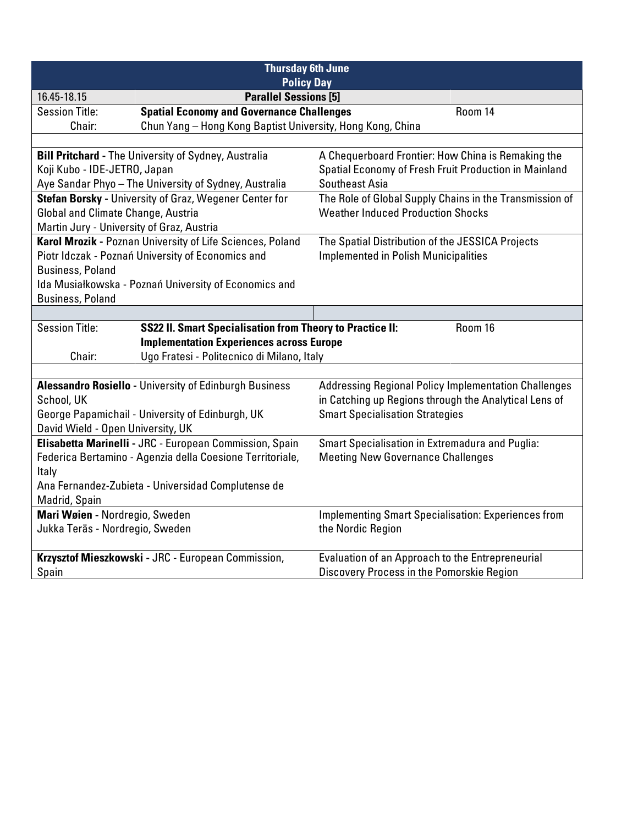| <b>Thursday 6th June</b><br><b>Policy Day</b>                                                        |                                                             |  |  |
|------------------------------------------------------------------------------------------------------|-------------------------------------------------------------|--|--|
| <b>Parallel Sessions [5]</b><br>16.45-18.15                                                          |                                                             |  |  |
| <b>Spatial Economy and Governance Challenges</b><br><b>Session Title:</b>                            | Room 14                                                     |  |  |
| Chun Yang - Hong Kong Baptist University, Hong Kong, China<br>Chair:                                 |                                                             |  |  |
|                                                                                                      |                                                             |  |  |
| <b>Bill Pritchard - The University of Sydney, Australia</b>                                          | A Chequerboard Frontier: How China is Remaking the          |  |  |
| Koji Kubo - IDE-JETRO, Japan                                                                         | Spatial Economy of Fresh Fruit Production in Mainland       |  |  |
| Aye Sandar Phyo - The University of Sydney, Australia                                                | Southeast Asia                                              |  |  |
| Stefan Borsky - University of Graz, Wegener Center for                                               | The Role of Global Supply Chains in the Transmission of     |  |  |
| Global and Climate Change, Austria                                                                   | <b>Weather Induced Production Shocks</b>                    |  |  |
| Martin Jury - University of Graz, Austria                                                            |                                                             |  |  |
| Karol Mrozik - Poznan University of Life Sciences, Poland                                            | The Spatial Distribution of the JESSICA Projects            |  |  |
| Piotr Idczak - Poznań University of Economics and                                                    | <b>Implemented in Polish Municipalities</b>                 |  |  |
| <b>Business, Poland</b>                                                                              |                                                             |  |  |
| Ida Musiałkowska - Poznań University of Economics and                                                |                                                             |  |  |
| <b>Business, Poland</b>                                                                              |                                                             |  |  |
|                                                                                                      |                                                             |  |  |
| <b>Session Title:</b><br><b>SS22 II. Smart Specialisation from Theory to Practice II:</b><br>Room 16 |                                                             |  |  |
| <b>Implementation Experiences across Europe</b>                                                      |                                                             |  |  |
| Ugo Fratesi - Politecnico di Milano, Italy<br>Chair:                                                 |                                                             |  |  |
|                                                                                                      |                                                             |  |  |
| Alessandro Rosiello - University of Edinburgh Business                                               | <b>Addressing Regional Policy Implementation Challenges</b> |  |  |
| School, UK                                                                                           | in Catching up Regions through the Analytical Lens of       |  |  |
| George Papamichail - University of Edinburgh, UK                                                     | <b>Smart Specialisation Strategies</b>                      |  |  |
| David Wield - Open University, UK                                                                    |                                                             |  |  |
| Elisabetta Marinelli - JRC - European Commission, Spain                                              | Smart Specialisation in Extremadura and Puglia:             |  |  |
| Federica Bertamino - Agenzia della Coesione Territoriale,                                            | <b>Meeting New Governance Challenges</b>                    |  |  |
| Italy                                                                                                |                                                             |  |  |
| Ana Fernandez-Zubieta - Universidad Complutense de                                                   |                                                             |  |  |
| Madrid, Spain                                                                                        |                                                             |  |  |
| Mari Wøien - Nordregio, Sweden                                                                       | <b>Implementing Smart Specialisation: Experiences from</b>  |  |  |
| Jukka Teräs - Nordregio, Sweden                                                                      | the Nordic Region                                           |  |  |
| Krzysztof Mieszkowski - JRC - European Commission,                                                   | Evaluation of an Approach to the Entrepreneurial            |  |  |
| Spain                                                                                                | Discovery Process in the Pomorskie Region                   |  |  |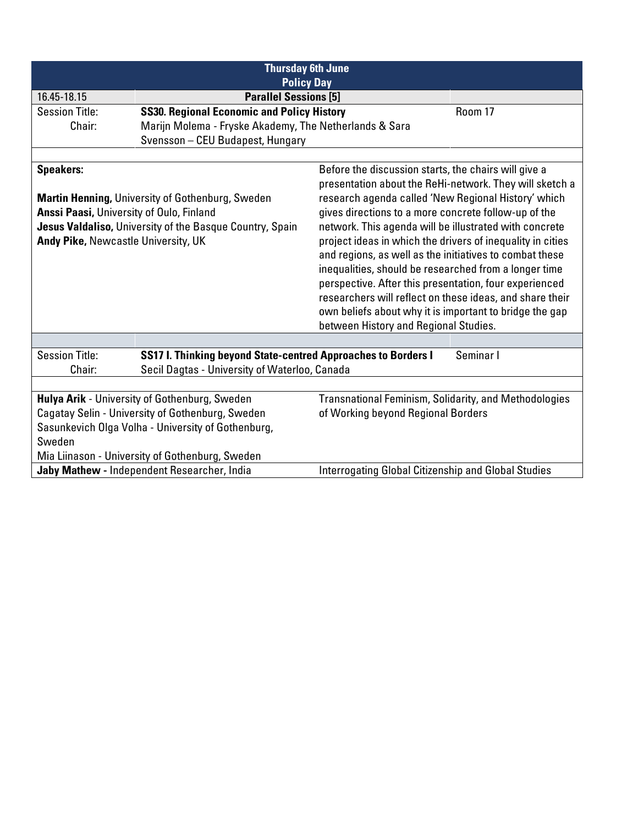| <b>Thursday 6th June</b><br><b>Policy Day</b>                                                                                                                                                          |                                                                                                                |                                                                                                                                                                                                                                                                                                                                                                                                                                                                                                                                                                                                                                              |           |
|--------------------------------------------------------------------------------------------------------------------------------------------------------------------------------------------------------|----------------------------------------------------------------------------------------------------------------|----------------------------------------------------------------------------------------------------------------------------------------------------------------------------------------------------------------------------------------------------------------------------------------------------------------------------------------------------------------------------------------------------------------------------------------------------------------------------------------------------------------------------------------------------------------------------------------------------------------------------------------------|-----------|
| 16.45-18.15                                                                                                                                                                                            | <b>Parallel Sessions [5]</b>                                                                                   |                                                                                                                                                                                                                                                                                                                                                                                                                                                                                                                                                                                                                                              |           |
| <b>Session Title:</b>                                                                                                                                                                                  | <b>SS30. Regional Economic and Policy History</b>                                                              |                                                                                                                                                                                                                                                                                                                                                                                                                                                                                                                                                                                                                                              | Room 17   |
| Chair:                                                                                                                                                                                                 | Marijn Molema - Fryske Akademy, The Netherlands & Sara                                                         |                                                                                                                                                                                                                                                                                                                                                                                                                                                                                                                                                                                                                                              |           |
|                                                                                                                                                                                                        | Svensson - CEU Budapest, Hungary                                                                               |                                                                                                                                                                                                                                                                                                                                                                                                                                                                                                                                                                                                                                              |           |
|                                                                                                                                                                                                        |                                                                                                                |                                                                                                                                                                                                                                                                                                                                                                                                                                                                                                                                                                                                                                              |           |
| <b>Speakers:</b>                                                                                                                                                                                       |                                                                                                                | Before the discussion starts, the chairs will give a                                                                                                                                                                                                                                                                                                                                                                                                                                                                                                                                                                                         |           |
| <b>Martin Henning, University of Gothenburg, Sweden</b><br>Anssi Paasi, University of Oulo, Finland<br>Jesus Valdaliso, University of the Basque Country, Spain<br>Andy Pike, Newcastle University, UK |                                                                                                                | presentation about the ReHi-network. They will sketch a<br>research agenda called 'New Regional History' which<br>gives directions to a more concrete follow-up of the<br>network. This agenda will be illustrated with concrete<br>project ideas in which the drivers of inequality in cities<br>and regions, as well as the initiatives to combat these<br>inequalities, should be researched from a longer time<br>perspective. After this presentation, four experienced<br>researchers will reflect on these ideas, and share their<br>own beliefs about why it is important to bridge the gap<br>between History and Regional Studies. |           |
|                                                                                                                                                                                                        |                                                                                                                |                                                                                                                                                                                                                                                                                                                                                                                                                                                                                                                                                                                                                                              |           |
| <b>Session Title:</b><br>Chair:                                                                                                                                                                        | SS17 I. Thinking beyond State-centred Approaches to Borders I<br>Secil Dagtas - University of Waterloo, Canada |                                                                                                                                                                                                                                                                                                                                                                                                                                                                                                                                                                                                                                              | Seminar I |
|                                                                                                                                                                                                        |                                                                                                                |                                                                                                                                                                                                                                                                                                                                                                                                                                                                                                                                                                                                                                              |           |
| Hulya Arik - University of Gothenburg, Sweden                                                                                                                                                          |                                                                                                                | <b>Transnational Feminism, Solidarity, and Methodologies</b>                                                                                                                                                                                                                                                                                                                                                                                                                                                                                                                                                                                 |           |
| Cagatay Selin - University of Gothenburg, Sweden                                                                                                                                                       |                                                                                                                | of Working beyond Regional Borders                                                                                                                                                                                                                                                                                                                                                                                                                                                                                                                                                                                                           |           |
| Sasunkevich Olga Volha - University of Gothenburg,                                                                                                                                                     |                                                                                                                |                                                                                                                                                                                                                                                                                                                                                                                                                                                                                                                                                                                                                                              |           |
| Sweden                                                                                                                                                                                                 |                                                                                                                |                                                                                                                                                                                                                                                                                                                                                                                                                                                                                                                                                                                                                                              |           |
| Mia Liinason - University of Gothenburg, Sweden                                                                                                                                                        |                                                                                                                |                                                                                                                                                                                                                                                                                                                                                                                                                                                                                                                                                                                                                                              |           |
| Jaby Mathew - Independent Researcher, India                                                                                                                                                            |                                                                                                                | <b>Interrogating Global Citizenship and Global Studies</b>                                                                                                                                                                                                                                                                                                                                                                                                                                                                                                                                                                                   |           |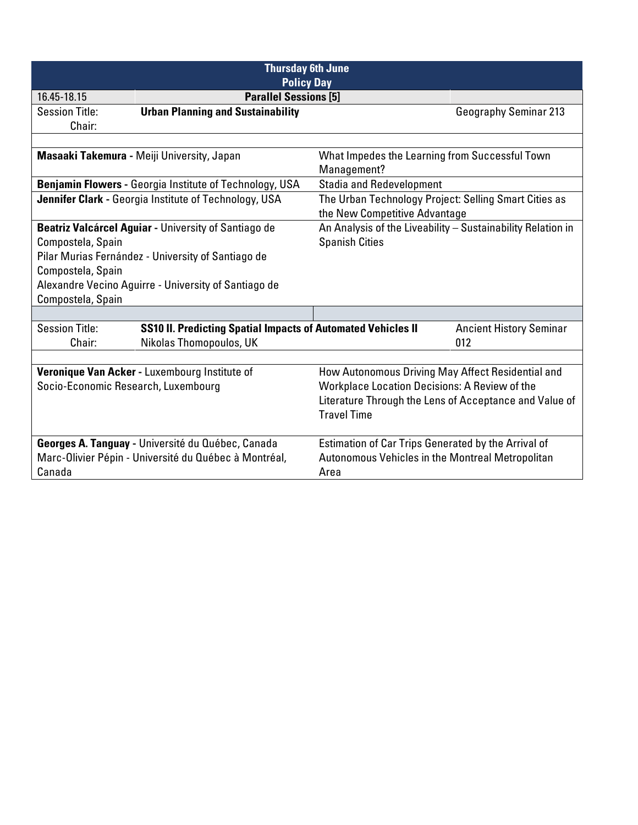| <b>Thursday 6th June</b><br><b>Policy Day</b>                                                                                                                                                                                     |                                                                                                |                                                                                        |                                                             |
|-----------------------------------------------------------------------------------------------------------------------------------------------------------------------------------------------------------------------------------|------------------------------------------------------------------------------------------------|----------------------------------------------------------------------------------------|-------------------------------------------------------------|
| 16.45-18.15                                                                                                                                                                                                                       | <b>Parallel Sessions [5]</b>                                                                   |                                                                                        |                                                             |
| <b>Session Title:</b>                                                                                                                                                                                                             | <b>Urban Planning and Sustainability</b>                                                       |                                                                                        | <b>Geography Seminar 213</b>                                |
| Chair:                                                                                                                                                                                                                            |                                                                                                |                                                                                        |                                                             |
|                                                                                                                                                                                                                                   |                                                                                                |                                                                                        |                                                             |
|                                                                                                                                                                                                                                   | Masaaki Takemura - Meiji University, Japan                                                     | What Impedes the Learning from Successful Town<br>Management?                          |                                                             |
|                                                                                                                                                                                                                                   | <b>Benjamin Flowers - Georgia Institute of Technology, USA</b>                                 | <b>Stadia and Redevelopment</b>                                                        |                                                             |
|                                                                                                                                                                                                                                   | Jennifer Clark - Georgia Institute of Technology, USA                                          | The Urban Technology Project: Selling Smart Cities as<br>the New Competitive Advantage |                                                             |
| Beatriz Valcárcel Aguiar - University of Santiago de<br>Compostela, Spain<br>Pilar Murias Fernández - University of Santiago de<br>Compostela, Spain<br>Alexandre Vecino Aguirre - University of Santiago de<br>Compostela, Spain |                                                                                                | <b>Spanish Cities</b>                                                                  | An Analysis of the Liveability - Sustainability Relation in |
|                                                                                                                                                                                                                                   |                                                                                                |                                                                                        |                                                             |
| <b>Session Title:</b><br>Chair:                                                                                                                                                                                                   | <b>SS10 II. Predicting Spatial Impacts of Automated Vehicles II</b><br>Nikolas Thomopoulos, UK |                                                                                        | <b>Ancient History Seminar</b><br>012                       |
|                                                                                                                                                                                                                                   |                                                                                                |                                                                                        |                                                             |
|                                                                                                                                                                                                                                   | Veronique Van Acker - Luxembourg Institute of                                                  | How Autonomous Driving May Affect Residential and                                      |                                                             |
| Socio-Economic Research, Luxembourg                                                                                                                                                                                               |                                                                                                | Workplace Location Decisions: A Review of the                                          |                                                             |
|                                                                                                                                                                                                                                   |                                                                                                |                                                                                        | Literature Through the Lens of Acceptance and Value of      |
|                                                                                                                                                                                                                                   |                                                                                                | <b>Travel Time</b>                                                                     |                                                             |
|                                                                                                                                                                                                                                   | Georges A. Tanguay - Université du Québec, Canada                                              |                                                                                        | Estimation of Car Trips Generated by the Arrival of         |
|                                                                                                                                                                                                                                   | Marc-Olivier Pépin - Université du Québec à Montréal,                                          | Autonomous Vehicles in the Montreal Metropolitan                                       |                                                             |
| Canada                                                                                                                                                                                                                            |                                                                                                | Area                                                                                   |                                                             |